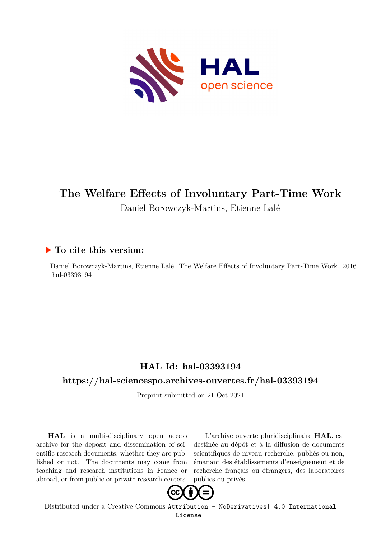

# **The Welfare Effects of Involuntary Part-Time Work** Daniel Borowczyk-Martins, Etienne Lalé

## **To cite this version:**

Daniel Borowczyk-Martins, Etienne Lalé. The Welfare Effects of Involuntary Part-Time Work. 2016. hal-03393194

## **HAL Id: hal-03393194**

## **<https://hal-sciencespo.archives-ouvertes.fr/hal-03393194>**

Preprint submitted on 21 Oct 2021

**HAL** is a multi-disciplinary open access archive for the deposit and dissemination of scientific research documents, whether they are published or not. The documents may come from teaching and research institutions in France or abroad, or from public or private research centers.

L'archive ouverte pluridisciplinaire **HAL**, est destinée au dépôt et à la diffusion de documents scientifiques de niveau recherche, publiés ou non, émanant des établissements d'enseignement et de recherche français ou étrangers, des laboratoires publics ou privés.



Distributed under a Creative Commons [Attribution - NoDerivatives| 4.0 International](http://creativecommons.org/licenses/by-nd/4.0/) [License](http://creativecommons.org/licenses/by-nd/4.0/)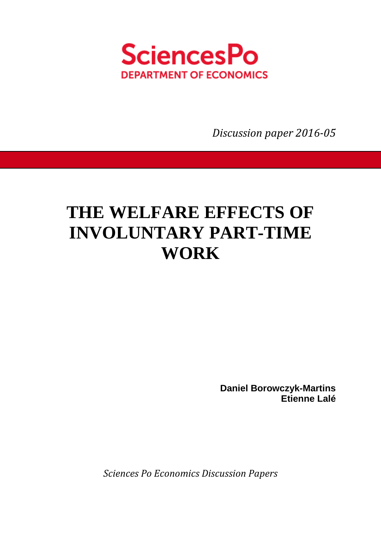

*Discussion paper 2016-05* 

# **THE WELFARE EFFECTS OF INVOLUNTARY PART-TIME WORK**

**Daniel Borowczyk-Martins Etienne Lalé** 

*Sciences Po Economics Discussion Papers*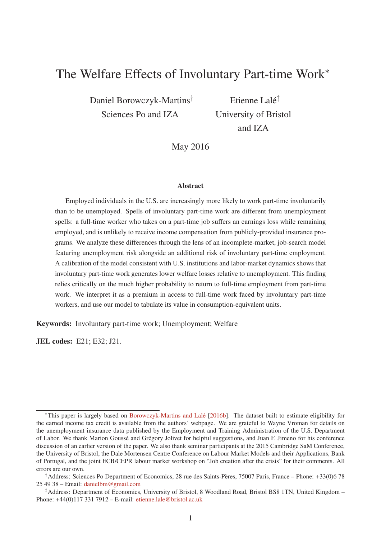# The Welfare Effects of Involuntary Part-time Work<sup>∗</sup>

Daniel Borowczyk-Martins† Sciences Po and IZA

Etienne Lalé‡ University of Bristol and IZA

May 2016

#### Abstract

Employed individuals in the U.S. are increasingly more likely to work part-time involuntarily than to be unemployed. Spells of involuntary part-time work are different from unemployment spells: a full-time worker who takes on a part-time job suffers an earnings loss while remaining employed, and is unlikely to receive income compensation from publicly-provided insurance programs. We analyze these differences through the lens of an incomplete-market, job-search model featuring unemployment risk alongside an additional risk of involuntary part-time employment. A calibration of the model consistent with U.S. institutions and labor-market dynamics shows that involuntary part-time work generates lower welfare losses relative to unemployment. This finding relies critically on the much higher probability to return to full-time employment from part-time work. We interpret it as a premium in access to full-time work faced by involuntary part-time workers, and use our model to tabulate its value in consumption-equivalent units.

Keywords: Involuntary part-time work; Unemployment; Welfare

JEL codes: E21; E32; J21.

<sup>∗</sup>This paper is largely based on Borowczyk-Martins and Lalé [2016b]. The dataset built to estimate eligibility for the earned income tax credit is available from the authors' webpage. We are grateful to Wayne Vroman for details on the unemployment insurance data published by the Employment and Training Administration of the U.S. Department of Labor. We thank Marion Goussé and Grégory Jolivet for helpful suggestions, and Juan F. Jimeno for his conference discussion of an earlier version of the paper. We also thank seminar participants at the 2015 Cambridge SaM Conference, the University of Bristol, the Dale Mortensen Centre Conference on Labour Market Models and their Applications, Bank of Portugal, and the joint ECB/CEPR labour market workshop on "Job creation after the crisis" for their comments. All errors are our own.

<sup>†</sup>Address: Sciences Po Department of Economics, 28 rue des Saints-Pères, 75007 Paris, France – Phone: +33(0)6 78 25 49 38 – Email: danielbm@gmail.com

<sup>‡</sup>Address: Department of Economics, University of Bristol, 8 Woodland Road, Bristol BS8 1TN, United Kingdom – Phone: +44(0)117 331 7912 – E-mail: etienne.lale@bristol.ac.uk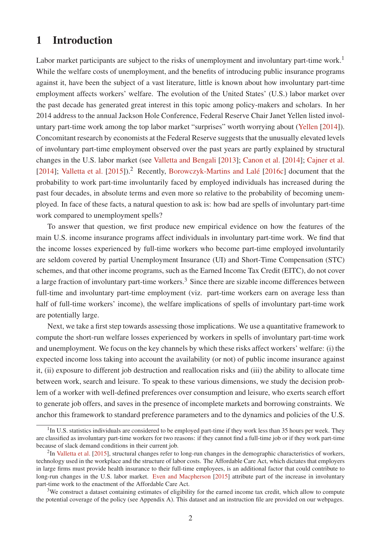## 1 Introduction

Labor market participants are subject to the risks of unemployment and involuntary part-time work.<sup>1</sup> While the welfare costs of unemployment, and the benefits of introducing public insurance programs against it, have been the subject of a vast literature, little is known about how involuntary part-time employment affects workers' welfare. The evolution of the United States' (U.S.) labor market over the past decade has generated great interest in this topic among policy-makers and scholars. In her 2014 address to the annual Jackson Hole Conference, Federal Reserve Chair Janet Yellen listed involuntary part-time work among the top labor market "surprises" worth worrying about (Yellen [2014]). Concomitant research by economists at the Federal Reserve suggests that the unusually elevated levels of involuntary part-time employment observed over the past years are partly explained by structural changes in the U.S. labor market (see Valletta and Bengali [2013]; Canon et al. [2014]; Cajner et al. [2014]; Valletta et al. [2015]).<sup>2</sup> Recently, Borowczyk-Martins and Lalé [2016c] document that the probability to work part-time involuntarily faced by employed individuals has increased during the past four decades, in absolute terms and even more so relative to the probability of becoming unemployed. In face of these facts, a natural question to ask is: how bad are spells of involuntary part-time work compared to unemployment spells?

To answer that question, we first produce new empirical evidence on how the features of the main U.S. income insurance programs affect individuals in involuntary part-time work. We find that the income losses experienced by full-time workers who become part-time employed involuntarily are seldom covered by partial Unemployment Insurance (UI) and Short-Time Compensation (STC) schemes, and that other income programs, such as the Earned Income Tax Credit (EITC), do not cover a large fraction of involuntary part-time workers.<sup>3</sup> Since there are sizable income differences between full-time and involuntary part-time employment (viz. part-time workers earn on average less than half of full-time workers' income), the welfare implications of spells of involuntary part-time work are potentially large.

Next, we take a first step towards assessing those implications. We use a quantitative framework to compute the short-run welfare losses experienced by workers in spells of involuntary part-time work and unemployment. We focus on the key channels by which these risks affect workers' welfare: (i) the expected income loss taking into account the availability (or not) of public income insurance against it, (ii) exposure to different job destruction and reallocation risks and (iii) the ability to allocate time between work, search and leisure. To speak to these various dimensions, we study the decision problem of a worker with well-defined preferences over consumption and leisure, who exerts search effort to generate job offers, and saves in the presence of incomplete markets and borrowing constraints. We anchor this framework to standard preference parameters and to the dynamics and policies of the U.S.

 $1$ In U.S. statistics individuals are considered to be employed part-time if they work less than 35 hours per week. They are classified as involuntary part-time workers for two reasons: if they cannot find a full-time job or if they work part-time because of slack demand conditions in their current job.

 $2$ In Valletta et al. [2015], structural changes refer to long-run changes in the demographic characteristics of workers, technology used in the workplace and the structure of labor costs. The Affordable Care Act, which dictates that employers in large firms must provide health insurance to their full-time employees, is an additional factor that could contribute to long-run changes in the U.S. labor market. Even and Macpherson [2015] attribute part of the increase in involuntary part-time work to the enactment of the Affordable Care Act.

<sup>&</sup>lt;sup>3</sup>We construct a dataset containing estimates of eligibility for the earned income tax credit, which allow to compute the potential coverage of the policy (see Appendix A). This dataset and an instruction file are provided on our webpages.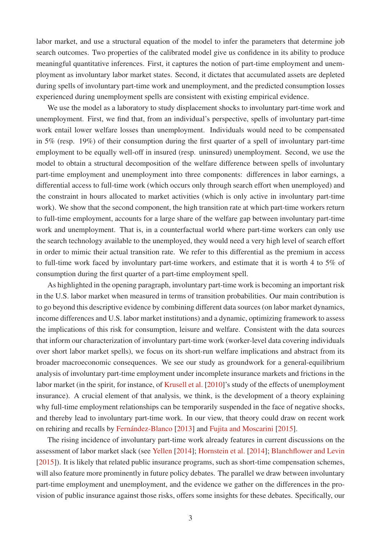labor market, and use a structural equation of the model to infer the parameters that determine job search outcomes. Two properties of the calibrated model give us confidence in its ability to produce meaningful quantitative inferences. First, it captures the notion of part-time employment and unemployment as involuntary labor market states. Second, it dictates that accumulated assets are depleted during spells of involuntary part-time work and unemployment, and the predicted consumption losses experienced during unemployment spells are consistent with existing empirical evidence.

We use the model as a laboratory to study displacement shocks to involuntary part-time work and unemployment. First, we find that, from an individual's perspective, spells of involuntary part-time work entail lower welfare losses than unemployment. Individuals would need to be compensated in 5% (resp. 19%) of their consumption during the first quarter of a spell of involuntary part-time employment to be equally well-off in insured (resp. uninsured) unemployment. Second, we use the model to obtain a structural decomposition of the welfare difference between spells of involuntary part-time employment and unemployment into three components: differences in labor earnings, a differential access to full-time work (which occurs only through search effort when unemployed) and the constraint in hours allocated to market activities (which is only active in involuntary part-time work). We show that the second component, the high transition rate at which part-time workers return to full-time employment, accounts for a large share of the welfare gap between involuntary part-time work and unemployment. That is, in a counterfactual world where part-time workers can only use the search technology available to the unemployed, they would need a very high level of search effort in order to mimic their actual transition rate. We refer to this differential as the premium in access to full-time work faced by involuntary part-time workers, and estimate that it is worth 4 to 5% of consumption during the first quarter of a part-time employment spell.

As highlighted in the opening paragraph, involuntary part-time work is becoming an important risk in the U.S. labor market when measured in terms of transition probabilities. Our main contribution is to go beyond this descriptive evidence by combining different data sources (on labor market dynamics, income differences and U.S. labor market institutions) and a dynamic, optimizing framework to assess the implications of this risk for consumption, leisure and welfare. Consistent with the data sources that inform our characterization of involuntary part-time work (worker-level data covering individuals over short labor market spells), we focus on its short-run welfare implications and abstract from its broader macroeconomic consequences. We see our study as groundwork for a general-equilibrium analysis of involuntary part-time employment under incomplete insurance markets and frictions in the labor market (in the spirit, for instance, of Krusell et al. [2010]'s study of the effects of unemployment insurance). A crucial element of that analysis, we think, is the development of a theory explaining why full-time employment relationships can be temporarily suspended in the face of negative shocks, and thereby lead to involuntary part-time work. In our view, that theory could draw on recent work on rehiring and recalls by Fernández-Blanco [2013] and Fujita and Moscarini [2015].

The rising incidence of involuntary part-time work already features in current discussions on the assessment of labor market slack (see Yellen [2014]; Hornstein et al. [2014]; Blanchflower and Levin [2015]). It is likely that related public insurance programs, such as short-time compensation schemes, will also feature more prominently in future policy debates. The parallel we draw between involuntary part-time employment and unemployment, and the evidence we gather on the differences in the provision of public insurance against those risks, offers some insights for these debates. Specifically, our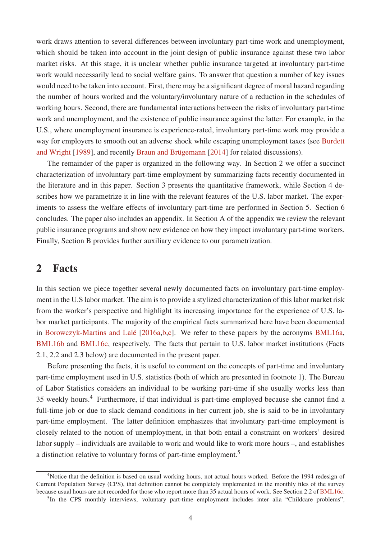work draws attention to several differences between involuntary part-time work and unemployment, which should be taken into account in the joint design of public insurance against these two labor market risks. At this stage, it is unclear whether public insurance targeted at involuntary part-time work would necessarily lead to social welfare gains. To answer that question a number of key issues would need to be taken into account. First, there may be a significant degree of moral hazard regarding the number of hours worked and the voluntary/involuntary nature of a reduction in the schedules of working hours. Second, there are fundamental interactions between the risks of involuntary part-time work and unemployment, and the existence of public insurance against the latter. For example, in the U.S., where unemployment insurance is experience-rated, involuntary part-time work may provide a way for employers to smooth out an adverse shock while escaping unemployment taxes (see Burdett and Wright [1989], and recently Braun and Brügemann [2014] for related discussions).

The remainder of the paper is organized in the following way. In Section 2 we offer a succinct characterization of involuntary part-time employment by summarizing facts recently documented in the literature and in this paper. Section 3 presents the quantitative framework, while Section 4 describes how we parametrize it in line with the relevant features of the U.S. labor market. The experiments to assess the welfare effects of involuntary part-time are performed in Section 5. Section 6 concludes. The paper also includes an appendix. In Section A of the appendix we review the relevant public insurance programs and show new evidence on how they impact involuntary part-time workers. Finally, Section B provides further auxiliary evidence to our parametrization.

## 2 Facts

In this section we piece together several newly documented facts on involuntary part-time employment in the U.S labor market. The aim is to provide a stylized characterization of this labor market risk from the worker's perspective and highlight its increasing importance for the experience of U.S. labor market participants. The majority of the empirical facts summarized here have been documented in Borowczyk-Martins and Lalé [2016a,b,c]. We refer to these papers by the acronyms BML16a, BML16b and BML16c, respectively. The facts that pertain to U.S. labor market institutions (Facts 2.1, 2.2 and 2.3 below) are documented in the present paper.

Before presenting the facts, it is useful to comment on the concepts of part-time and involuntary part-time employment used in U.S. statistics (both of which are presented in footnote 1). The Bureau of Labor Statistics considers an individual to be working part-time if she usually works less than 35 weekly hours.<sup>4</sup> Furthermore, if that individual is part-time employed because she cannot find a full-time job or due to slack demand conditions in her current job, she is said to be in involuntary part-time employment. The latter definition emphasizes that involuntary part-time employment is closely related to the notion of unemployment, in that both entail a constraint on workers' desired labor supply – individuals are available to work and would like to work more hours –, and establishes a distinction relative to voluntary forms of part-time employment.<sup>5</sup>

<sup>&</sup>lt;sup>4</sup>Notice that the definition is based on usual working hours, not actual hours worked. Before the 1994 redesign of Current Population Survey (CPS), that definition cannot be completely implemented in the monthly files of the survey because usual hours are not recorded for those who report more than 35 actual hours of work. See Section 2.2 of BML16c.

<sup>&</sup>lt;sup>5</sup>In the CPS monthly interviews, voluntary part-time employment includes inter alia "Childcare problems",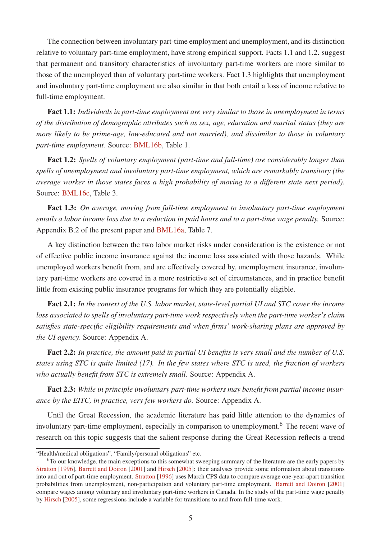The connection between involuntary part-time employment and unemployment, and its distinction relative to voluntary part-time employment, have strong empirical support. Facts 1.1 and 1.2. suggest that permanent and transitory characteristics of involuntary part-time workers are more similar to those of the unemployed than of voluntary part-time workers. Fact 1.3 highlights that unemployment and involuntary part-time employment are also similar in that both entail a loss of income relative to full-time employment.

Fact 1.1: *Individuals in part-time employment are very similar to those in unemployment in terms of the distribution of demographic attributes such as sex, age, education and marital status (they are more likely to be prime-age, low-educated and not married), and dissimilar to those in voluntary part-time employment.* Source: BML16b, Table 1.

Fact 1.2: *Spells of voluntary employment (part-time and full-time) are considerably longer than spells of unemployment and involuntary part-time employment, which are remarkably transitory (the average worker in those states faces a high probability of moving to a different state next period).* Source: BML16c, Table 3.

Fact 1.3: *On average, moving from full-time employment to involuntary part-time employment entails a labor income loss due to a reduction in paid hours and to a part-time wage penalty.* Source: Appendix B.2 of the present paper and BML16a, Table 7.

A key distinction between the two labor market risks under consideration is the existence or not of effective public income insurance against the income loss associated with those hazards. While unemployed workers benefit from, and are effectively covered by, unemployment insurance, involuntary part-time workers are covered in a more restrictive set of circumstances, and in practice benefit little from existing public insurance programs for which they are potentially eligible.

Fact 2.1: *In the context of the U.S. labor market, state-level partial UI and STC cover the income loss associated to spells of involuntary part-time work respectively when the part-time worker's claim satisfies state-specific eligibility requirements and when firms' work-sharing plans are approved by the UI agency.* Source: Appendix A.

Fact 2.2: *In practice, the amount paid in partial UI benefits is very small and the number of U.S. states using STC is quite limited (17). In the few states where STC is used, the fraction of workers who actually benefit from STC is extremely small.* Source: Appendix A.

Fact 2.3: *While in principle involuntary part-time workers may benefit from partial income insurance by the EITC, in practice, very few workers do.* Source: Appendix A.

Until the Great Recession, the academic literature has paid little attention to the dynamics of involuntary part-time employment, especially in comparison to unemployment.<sup>6</sup> The recent wave of research on this topic suggests that the salient response during the Great Recession reflects a trend

<sup>&</sup>quot;Health/medical obligations", "Family/personal obligations" etc.

 $6T_0$  our knowledge, the main exceptions to this somewhat sweeping summary of the literature are the early papers by Stratton [1996], Barrett and Doiron [2001] and Hirsch [2005]: their analyses provide some information about transitions into and out of part-time employment. Stratton [1996] uses March CPS data to compare average one-year-apart transition probabilities from unemployment, non-participation and voluntary part-time employment. Barrett and Doiron [2001] compare wages among voluntary and involuntary part-time workers in Canada. In the study of the part-time wage penalty by Hirsch [2005], some regressions include a variable for transitions to and from full-time work.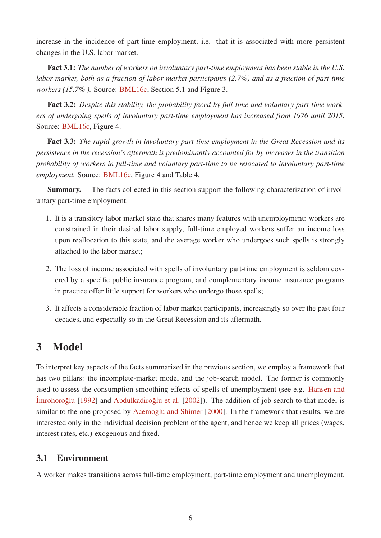increase in the incidence of part-time employment, i.e. that it is associated with more persistent changes in the U.S. labor market.

Fact 3.1: *The number of workers on involuntary part-time employment has been stable in the U.S. labor market, both as a fraction of labor market participants (2.7%) and as a fraction of part-time workers (15.7%).* Source: BML16c, Section 5.1 and Figure 3.

Fact 3.2: *Despite this stability, the probability faced by full-time and voluntary part-time workers of undergoing spells of involuntary part-time employment has increased from 1976 until 2015.* Source: BML16c, Figure 4.

Fact 3.3: *The rapid growth in involuntary part-time employment in the Great Recession and its persistence in the recession's aftermath is predominantly accounted for by increases in the transition probability of workers in full-time and voluntary part-time to be relocated to involuntary part-time employment.* Source: BML16c, Figure 4 and Table 4.

Summary. The facts collected in this section support the following characterization of involuntary part-time employment:

- 1. It is a transitory labor market state that shares many features with unemployment: workers are constrained in their desired labor supply, full-time employed workers suffer an income loss upon reallocation to this state, and the average worker who undergoes such spells is strongly attached to the labor market;
- 2. The loss of income associated with spells of involuntary part-time employment is seldom covered by a specific public insurance program, and complementary income insurance programs in practice offer little support for workers who undergo those spells;
- 3. It affects a considerable fraction of labor market participants, increasingly so over the past four decades, and especially so in the Great Recession and its aftermath.

## 3 Model

To interpret key aspects of the facts summarized in the previous section, we employ a framework that has two pillars: the incomplete-market model and the job-search model. The former is commonly used to assess the consumption-smoothing effects of spells of unemployment (see e.g. Hansen and Imrohoroglu [1992] and Abdulkadiroglu et al. [2002]). The addition of job search to that model is similar to the one proposed by Acemoglu and Shimer [2000]. In the framework that results, we are interested only in the individual decision problem of the agent, and hence we keep all prices (wages, interest rates, etc.) exogenous and fixed.

#### 3.1 Environment

A worker makes transitions across full-time employment, part-time employment and unemployment.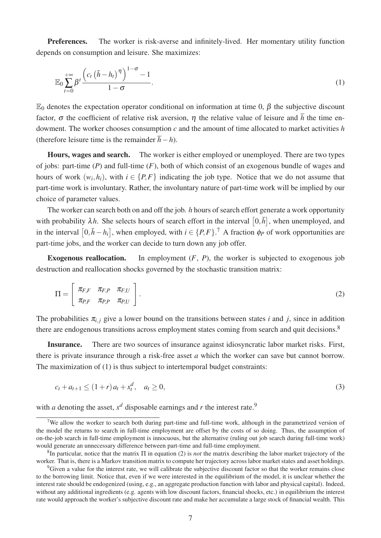Preferences. The worker is risk-averse and infinitely-lived. Her momentary utility function depends on consumption and leisure. She maximizes:

$$
\mathbb{E}_0 \sum_{t=0}^{+\infty} \beta^t \frac{\left(c_t \left(\bar{h} - h_t\right)^{\eta}\right)^{1-\sigma} - 1}{1-\sigma}.
$$
\n(1)

 $\mathbb{E}_0$  denotes the expectation operator conditional on information at time 0, β the subjective discount factor,  $\sigma$  the coefficient of relative risk aversion,  $\eta$  the relative value of leisure and  $\bar{h}$  the time endowment. The worker chooses consumption *c* and the amount of time allocated to market activities *h* (therefore leisure time is the remainder  $\overline{h}$ −*h*).

Hours, wages and search. The worker is either employed or unemployed. There are two types of jobs: part-time (*P*) and full-time (*F*), both of which consist of an exogenous bundle of wages and hours of work  $(w_i, h_i)$ , with  $i \in \{P, F\}$  indicating the job type. Notice that we do not assume that part-time work is involuntary. Rather, the involuntary nature of part-time work will be implied by our choice of parameter values.

The worker can search both on and off the job. *h* hours of search effort generate a work opportunity with probability  $\lambda h$ . She selects hours of search effort in the interval  $[0,\bar{h}]$ , when unemployed, and in the interval  $[0, \bar{h} - h_i]$ , when employed, with  $i \in \{P, F\}$ .<sup>7</sup> A fraction  $\phi_P$  of work opportunities are part-time jobs, and the worker can decide to turn down any job offer.

Exogenous reallocation. In employment  $(F, P)$ , the worker is subjected to exogenous job destruction and reallocation shocks governed by the stochastic transition matrix:

$$
\Pi = \left[ \begin{array}{cc} \pi_{F,F} & \pi_{F,P} & \pi_{F,U} \\ \pi_{P,F} & \pi_{P,P} & \pi_{P,U} \end{array} \right]. \tag{2}
$$

The probabilities  $\pi_{i,j}$  give a lower bound on the transitions between states *i* and *j*, since in addition there are endogenous transitions across employment states coming from search and quit decisions.<sup>8</sup>

Insurance. There are two sources of insurance against idiosyncratic labor market risks. First, there is private insurance through a risk-free asset *a* which the worker can save but cannot borrow. The maximization of (1) is thus subject to intertemporal budget constraints:

$$
c_t + a_{t+1} \le (1+r)a_t + x_t^d, \quad a_t \ge 0,
$$
\n(3)

with *a* denoting the asset,  $x^d$  disposable earnings and *r* the interest rate.<sup>9</sup>

<sup>&</sup>lt;sup>7</sup>We allow the worker to search both during part-time and full-time work, although in the parametrized version of the model the returns to search in full-time employment are offset by the costs of so doing. Thus, the assumption of on-the-job search in full-time employment is innocuous, but the alternative (ruling out job search during full-time work) would generate an unnecessary difference between part-time and full-time employment.

<sup>8</sup> In particular, notice that the matrix Π in equation (2) is *not* the matrix describing the labor market trajectory of the worker. That is, there is a Markov transition matrix to compute her trajectory across labor market states and asset holdings.

<sup>&</sup>lt;sup>9</sup>Given a value for the interest rate, we will calibrate the subjective discount factor so that the worker remains close to the borrowing limit. Notice that, even if we were interested in the equilibrium of the model, it is unclear whether the interest rate should be endogenized (using, e.g., an aggregate production function with labor and physical capital). Indeed, without any additional ingredients (e.g. agents with low discount factors, financial shocks, etc.) in equilibrium the interest rate would approach the worker's subjective discount rate and make her accumulate a large stock of financial wealth. This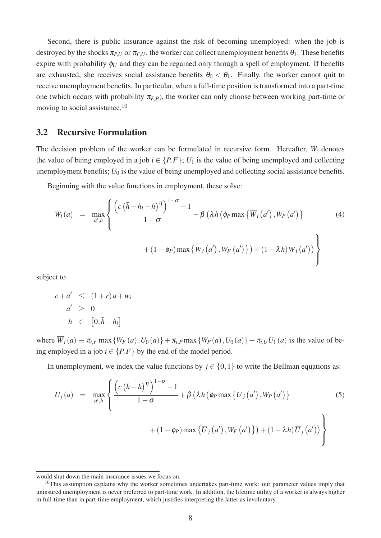Second, there is public insurance against the risk of becoming unemployed: when the job is destroyed by the shocks  $\pi_{P,U}$  or  $\pi_{F,U}$ , the worker can collect unemployment benefits  $\theta_1$ . These benefits expire with probability  $\phi_U$  and they can be regained only through a spell of employment. If benefits are exhausted, she receives social assistance benefits  $\theta_0 < \theta_1$ . Finally, the worker cannot quit to receive unemployment benefits. In particular, when a full-time position is transformed into a part-time one (which occurs with probability  $\pi_{F,P}$ ), the worker can only choose between working part-time or moving to social assistance.<sup>10</sup>

#### 3.2 Recursive Formulation

The decision problem of the worker can be formulated in recursive form. Hereafter, *W<sup>i</sup>* denotes the value of being employed in a job  $i \in \{P, F\}$ ;  $U_1$  is the value of being unemployed and collecting unemployment benefits;  $U_0$  is the value of being unemployed and collecting social assistance benefits.

Beginning with the value functions in employment, these solve:

$$
W_{i}(a) = \max_{a',h} \left\{ \frac{\left(c\left(\bar{h} - h_{i} - h\right)^{\eta}\right)^{1-\sigma} - 1}{1-\sigma} + \beta \left(\lambda h \left(\phi_{P} \max \left\{\overline{W}_{i}\left(a'\right), W_{P}\left(a'\right)\right\}\right) + (1-\phi_{P}) \max \left\{\overline{W}_{i}\left(a'\right), W_{F}\left(a'\right)\right\}\right) + (1-\lambda h) \overline{W}_{i}\left(a'\right)\right) \right\}
$$
(4)

subject to

$$
c + a' \leq (1+r)a + w_i
$$
  
\n
$$
a' \geq 0
$$
  
\n
$$
h \in [0, \bar{h} - h_i]
$$

where  $\overline{W}_i(a) \equiv \pi_{i,F} \max \{W_F(a), U_0(a)\} + \pi_{i,P} \max \{W_P(a), U_0(a)\} + \pi_{i,U} U_1(a)$  is the value of being employed in a job  $i \in \{P, F\}$  by the end of the model period.

In unemployment, we index the value functions by  $j \in \{0,1\}$  to write the Bellman equations as:

$$
U_j(a) = \max_{a',h} \left\{ \frac{\left( c \left( \bar{h} - h \right)^{\eta} \right)^{1-\sigma} - 1}{1-\sigma} + \beta \left( \lambda h \left( \phi_P \max \left\{ \overline{U}_j \left( a' \right), W_P \left( a' \right) \right\} \right) \right. \\ \left. + (1 - \phi_P) \max \left\{ \overline{U}_j \left( a' \right), W_F \left( a' \right) \right\} \right) + (1 - \lambda h) \overline{U}_j \left( a' \right) \right\} \right\}
$$
(5)

would shut down the main insurance issues we focus on.

<sup>&</sup>lt;sup>10</sup>This assumption explains why the worker sometimes undertakes part-time work: our parameter values imply that uninsured unemployment is never preferred to part-time work. In addition, the lifetime utility of a worker is always higher in full-time than in part-time employment, which justifies interpreting the latter as involuntary.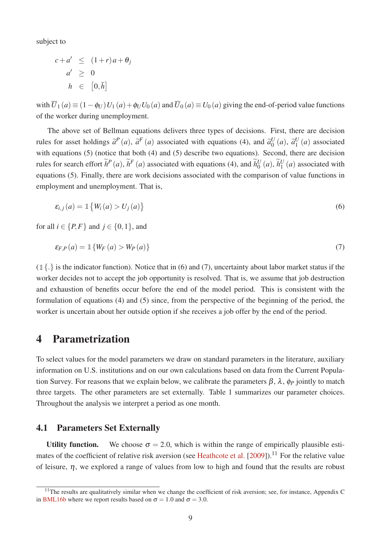subject to

$$
c + a' \leq (1+r)a + \theta_j
$$
  
\n
$$
a' \geq 0
$$
  
\n
$$
h \in [0,\bar{h}]
$$

with  $\overline{U}_1(a) \equiv (1-\phi_U) U_1(a) + \phi_U U_0(a)$  and  $\overline{U}_0(a) \equiv U_0(a)$  giving the end-of-period value functions of the worker during unemployment.

The above set of Bellman equations delivers three types of decisions. First, there are decision rules for asset holdings  $\tilde{a}^P(a)$ ,  $\tilde{a}^F(a)$  associated with equations (4), and  $\tilde{a}_0^U$  $\begin{array}{cc} U(a), & \widetilde{a}_1^U \end{array}$  $_1^U(a)$  associated with equations (5) (notice that both (4) and (5) describe two equations). Second, there are decision rules for search effort  $\tilde{h}^P(a)$ ,  $\tilde{h}^F(a)$  associated with equations (4), and  $\tilde{h}^U_0$  $\widetilde{b}_0^U(a), \widetilde{h}_1^U$  $_1^U(a)$  associated with equations (5). Finally, there are work decisions associated with the comparison of value functions in employment and unemployment. That is,

$$
\varepsilon_{i,j}(a) = \mathbb{1}\left\{W_i(a) > U_j(a)\right\} \tag{6}
$$

for all  $i \in \{P, F\}$  and  $j \in \{0, 1\}$ , and

$$
\varepsilon_{F,P}(a) = \mathbb{1}\left\{W_F(a) > W_P(a)\right\} \tag{7}
$$

 $(\mathbb{1}\{\cdot\})$  is the indicator function). Notice that in (6) and (7), uncertainty about labor market status if the worker decides not to accept the job opportunity is resolved. That is, we assume that job destruction and exhaustion of benefits occur before the end of the model period. This is consistent with the formulation of equations (4) and (5) since, from the perspective of the beginning of the period, the worker is uncertain about her outside option if she receives a job offer by the end of the period.

## 4 Parametrization

To select values for the model parameters we draw on standard parameters in the literature, auxiliary information on U.S. institutions and on our own calculations based on data from the Current Population Survey. For reasons that we explain below, we calibrate the parameters  $\beta$ ,  $\lambda$ ,  $\phi$ *P* jointly to match three targets. The other parameters are set externally. Table 1 summarizes our parameter choices. Throughout the analysis we interpret a period as one month.

#### 4.1 Parameters Set Externally

Utility function. We choose  $\sigma = 2.0$ , which is within the range of empirically plausible estimates of the coefficient of relative risk aversion (see Heathcote et al. [2009]).<sup>11</sup> For the relative value of leisure,  $\eta$ , we explored a range of values from low to high and found that the results are robust

 $11$ The results are qualitatively similar when we change the coefficient of risk aversion; see, for instance, Appendix C in BML16b where we report results based on  $\sigma = 1.0$  and  $\sigma = 3.0$ .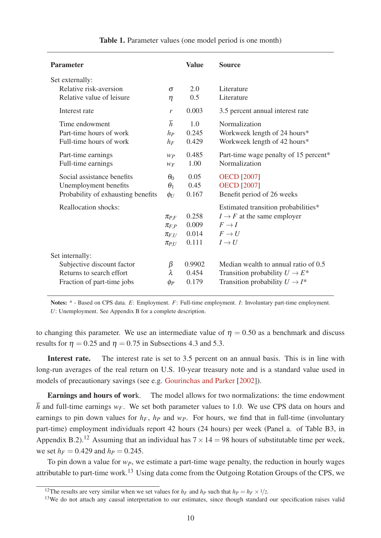| <b>Parameter</b>                                                                                        |                                                          | <b>Value</b>                     | <b>Source</b>                                                                                                                        |
|---------------------------------------------------------------------------------------------------------|----------------------------------------------------------|----------------------------------|--------------------------------------------------------------------------------------------------------------------------------------|
| Set externally:<br>Relative risk-aversion<br>Relative value of leisure                                  | $\sigma$<br>$\eta$                                       | 2.0<br>0.5                       | Literature<br>Literature                                                                                                             |
| Interest rate                                                                                           | $\mathcal{V}$                                            | 0.003                            | 3.5 percent annual interest rate                                                                                                     |
| Time endowment<br>Part-time hours of work<br>Full-time hours of work                                    | $\bar{h}$<br>hp<br>$h_F$                                 | 1.0<br>0.245<br>0.429            | Normalization<br>Workweek length of 24 hours*<br>Workweek length of 42 hours*                                                        |
| Part-time earnings<br>Full-time earnings                                                                | Wp<br>WF                                                 | 0.485<br>1.00                    | Part-time wage penalty of 15 percent*<br>Normalization                                                                               |
| Social assistance benefits<br>Unemployment benefits<br>Probability of exhausting benefits               | $\theta_0$<br>$\theta_1$<br>$\phi_U$                     | 0.05<br>0.45<br>0.167            | <b>OECD</b> [2007]<br><b>OECD</b> [2007]<br>Benefit period of 26 weeks                                                               |
| Reallocation shocks:                                                                                    | $\pi_{P,F}$<br>$\pi_{F,P}$<br>$\pi_{F,U}$<br>$\pi_{P,U}$ | 0.258<br>0.009<br>0.014<br>0.111 | Estimated transition probabilities*<br>$I \rightarrow F$ at the same employer<br>$F \rightarrow I$<br>$F \to U$<br>$I \rightarrow U$ |
| Set internally:<br>Subjective discount factor<br>Returns to search effort<br>Fraction of part-time jobs | β<br>λ<br>$\varphi_P$                                    | 0.9902<br>0.454<br>0.179         | Median wealth to annual ratio of 0.5<br>Transition probability $U \rightarrow E^*$<br>Transition probability $U \rightarrow I^*$     |

Notes:  $*$  - Based on CPS data. *E*: Employment. *F*: Full-time employment. *I*: Involuntary part-time employment. *U*: Unemployment. See Appendix B for a complete description.

to changing this parameter. We use an intermediate value of  $\eta = 0.50$  as a benchmark and discuss results for  $\eta = 0.25$  and  $\eta = 0.75$  in Subsections 4.3 and 5.3.

Interest rate. The interest rate is set to 3.5 percent on an annual basis. This is in line with long-run averages of the real return on U.S. 10-year treasury note and is a standard value used in models of precautionary savings (see e.g. Gourinchas and Parker [2002]).

Earnings and hours of work. The model allows for two normalizations: the time endowment  $\overline{h}$  and full-time earnings  $w_F$ . We set both parameter values to 1.0. We use CPS data on hours and earnings to pin down values for  $h_F$ ,  $h_P$  and  $w_P$ . For hours, we find that in full-time (involuntary part-time) employment individuals report 42 hours (24 hours) per week (Panel a. of Table B3, in Appendix B.2).<sup>12</sup> Assuming that an individual has  $7 \times 14 = 98$  hours of substitutable time per week, we set  $h_F = 0.429$  and  $h_P = 0.245$ .

To pin down a value for  $w_P$ , we estimate a part-time wage penalty, the reduction in hourly wages attributable to part-time work.<sup>13</sup> Using data come from the Outgoing Rotation Groups of the CPS, we

<sup>&</sup>lt;sup>12</sup>The results are very similar when we set values for  $h_F$  and  $h_P$  such that  $h_P = h_F \times 1/2$ .

<sup>&</sup>lt;sup>13</sup>We do not attach any causal interpretation to our estimates, since though standard our specification raises valid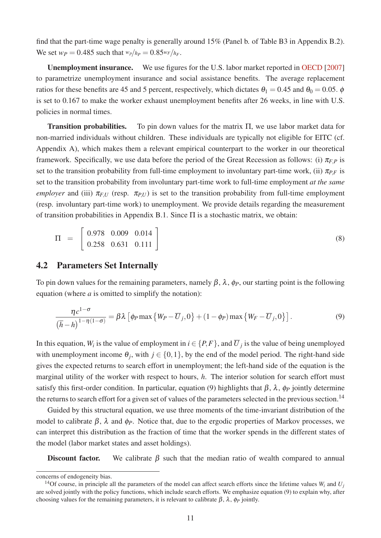find that the part-time wage penalty is generally around 15% (Panel b. of Table B3 in Appendix B.2). We set  $w_P = 0.485$  such that  $w_P/h_P = 0.85w_F/h_F$ .

Unemployment insurance. We use figures for the U.S. labor market reported in OECD [2007] to parametrize unemployment insurance and social assistance benefits. The average replacement ratios for these benefits are 45 and 5 percent, respectively, which dictates  $\theta_1 = 0.45$  and  $\theta_0 = 0.05$ .  $\phi$ is set to 0.167 to make the worker exhaust unemployment benefits after 26 weeks, in line with U.S. policies in normal times.

Transition probabilities. To pin down values for the matrix Π, we use labor market data for non-married individuals without children. These individuals are typically not eligible for EITC (cf. Appendix A), which makes them a relevant empirical counterpart to the worker in our theoretical framework. Specifically, we use data before the period of the Great Recession as follows: (i)  $\pi_{FP}$  is set to the transition probability from full-time employment to involuntary part-time work, (ii)  $\pi_{PF}$  is set to the transition probability from involuntary part-time work to full-time employment *at the same employer* and (iii)  $\pi$ <sub>*F,U*</sub> (resp.  $\pi$ *P<sub>U</sub>U*) is set to the transition probability from full-time employment (resp. involuntary part-time work) to unemployment. We provide details regarding the measurement of transition probabilities in Appendix B.1. Since Π is a stochastic matrix, we obtain:

$$
\Pi = \begin{bmatrix} 0.978 & 0.009 & 0.014 \\ 0.258 & 0.631 & 0.111 \end{bmatrix}
$$
 (8)

#### 4.2 Parameters Set Internally

To pin down values for the remaining parameters, namely  $\beta$ ,  $\lambda$ ,  $\phi$ *P*, our starting point is the following equation (where *a* is omitted to simplify the notation):

$$
\frac{\eta c^{1-\sigma}}{(\overline{h}-h)^{1-\eta(1-\sigma)}} = \beta \lambda \left[ \phi_P \max \left\{ W_P - \overline{U}_j, 0 \right\} + (1-\phi_P) \max \left\{ W_F - \overline{U}_j, 0 \right\} \right].
$$
 (9)

In this equation,  $W_i$  is the value of employment in  $i \in \{P, F\}$ , and  $\overline{U}_j$  is the value of being unemployed with unemployment income  $\theta_j$ , with  $j \in \{0,1\}$ , by the end of the model period. The right-hand side gives the expected returns to search effort in unemployment; the left-hand side of the equation is the marginal utility of the worker with respect to hours, *h*. The interior solution for search effort must satisfy this first-order condition. In particular, equation (9) highlights that  $\beta$ ,  $\lambda$ ,  $\phi$ *P* jointly determine the returns to search effort for a given set of values of the parameters selected in the previous section.<sup>14</sup>

Guided by this structural equation, we use three moments of the time-invariant distribution of the model to calibrate  $\beta$ ,  $\lambda$  and  $\phi$ <sub>*P*</sub>. Notice that, due to the ergodic properties of Markov processes, we can interpret this distribution as the fraction of time that the worker spends in the different states of the model (labor market states and asset holdings).

Discount factor. We calibrate  $\beta$  such that the median ratio of wealth compared to annual

concerns of endogeneity bias.

<sup>&</sup>lt;sup>14</sup>Of course, in principle all the parameters of the model can affect search efforts since the lifetime values  $W_i$  and  $U_j$ are solved jointly with the policy functions, which include search efforts. We emphasize equation (9) to explain why, after choosing values for the remaining parameters, it is relevant to calibrate  $\beta$ ,  $\lambda$ ,  $\phi$ *P* jointly.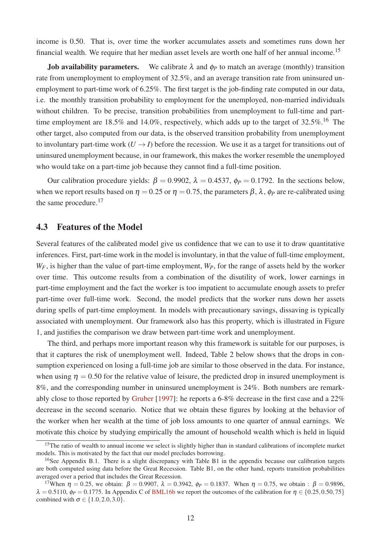income is 0.50. That is, over time the worker accumulates assets and sometimes runs down her financial wealth. We require that her median asset levels are worth one half of her annual income.<sup>15</sup>

**Job availability parameters.** We calibrate  $\lambda$  and  $\phi$ <sup>*P*</sup> to match an average (monthly) transition rate from unemployment to employment of 32.5%, and an average transition rate from uninsured unemployment to part-time work of 6.25%. The first target is the job-finding rate computed in our data, i.e. the monthly transition probability to employment for the unemployed, non-married individuals without children. To be precise, transition probabilities from unemployment to full-time and parttime employment are 18.5% and 14.0%, respectively, which adds up to the target of  $32.5\%$ .<sup>16</sup> The other target, also computed from our data, is the observed transition probability from unemployment to involuntary part-time work  $(U \rightarrow I)$  before the recession. We use it as a target for transitions out of uninsured unemployment because, in our framework, this makes the worker resemble the unemployed who would take on a part-time job because they cannot find a full-time position.

Our calibration procedure yields:  $β = 0.9902$ ,  $λ = 0.4537$ ,  $φ = 0.1792$ . In the sections below, when we report results based on  $\eta = 0.25$  or  $\eta = 0.75$ , the parameters  $\beta$ ,  $\lambda$ ,  $\phi$ *P* are re-calibrated using the same procedure.<sup>17</sup>

#### 4.3 Features of the Model

Several features of the calibrated model give us confidence that we can to use it to draw quantitative inferences. First, part-time work in the model is involuntary, in that the value of full-time employment, *WF*, is higher than the value of part-time employment, *WP*, for the range of assets held by the worker over time. This outcome results from a combination of the disutility of work, lower earnings in part-time employment and the fact the worker is too impatient to accumulate enough assets to prefer part-time over full-time work. Second, the model predicts that the worker runs down her assets during spells of part-time employment. In models with precautionary savings, dissaving is typically associated with unemployment. Our framework also has this property, which is illustrated in Figure 1, and justifies the comparison we draw between part-time work and unemployment.

The third, and perhaps more important reason why this framework is suitable for our purposes, is that it captures the risk of unemployment well. Indeed, Table 2 below shows that the drops in consumption experienced on losing a full-time job are similar to those observed in the data. For instance, when using  $\eta = 0.50$  for the relative value of leisure, the predicted drop in insured unemployment is 8%, and the corresponding number in uninsured unemployment is 24%. Both numbers are remarkably close to those reported by Gruber [1997]: he reports a 6-8% decrease in the first case and a 22% decrease in the second scenario. Notice that we obtain these figures by looking at the behavior of the worker when her wealth at the time of job loss amounts to one quarter of annual earnings. We motivate this choice by studying empirically the amount of household wealth which is held in liquid

 $15$ The ratio of wealth to annual income we select is slightly higher than in standard calibrations of incomplete market models. This is motivated by the fact that our model precludes borrowing.

<sup>&</sup>lt;sup>16</sup>See Appendix B.1. There is a slight discrepancy with Table B1 in the appendix because our calibration targets are both computed using data before the Great Recession. Table B1, on the other hand, reports transition probabilities averaged over a period that includes the Great Recession.

<sup>&</sup>lt;sup>17</sup>When  $η = 0.25$ , we obtain:  $β = 0.9907$ ,  $λ = 0.3942$ ,  $φ = 0.1837$ . When  $η = 0.75$ , we obtain:  $β = 0.9896$ ,  $\lambda = 0.5110$ ,  $\phi_P = 0.1775$ . In Appendix C of BML16b we report the outcomes of the calibration for  $\eta \in \{0.25, 0.50, 75\}$ combined with  $\sigma \in \{1.0, 2.0, 3.0\}$ .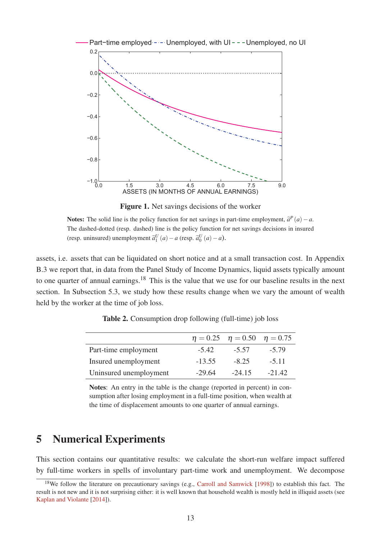

Figure 1. Net savings decisions of the worker

Notes: The solid line is the policy function for net savings in part-time employment,  $\tilde{a}^P(a) - a$ . The dashed-dotted (resp. dashed) line is the policy function for net savings decisions in insured (resp. uninsured) unemployment  $\tilde{a}_1^U(a) - a$  (resp.  $\tilde{a}_0^U(a) - a$ ).

assets, i.e. assets that can be liquidated on short notice and at a small transaction cost. In Appendix B.3 we report that, in data from the Panel Study of Income Dynamics, liquid assets typically amount to one quarter of annual earnings.<sup>18</sup> This is the value that we use for our baseline results in the next section. In Subsection 5.3, we study how these results change when we vary the amount of wealth held by the worker at the time of job loss.

|                        |          | $\eta = 0.25$ $\eta = 0.50$ $\eta = 0.75$ |          |
|------------------------|----------|-------------------------------------------|----------|
| Part-time employment   | $-5.42$  | $-5.57$                                   | $-5.79$  |
| Insured unemployment   | $-13.55$ | $-8.25$                                   | $-5.11$  |
| Uninsured unemployment | -29.64   | $-24.15$                                  | $-21.42$ |

Table 2. Consumption drop following (full-time) job loss

Notes: An entry in the table is the change (reported in percent) in consumption after losing employment in a full-time position, when wealth at the time of displacement amounts to one quarter of annual earnings.

## 5 Numerical Experiments

This section contains our quantitative results: we calculate the short-run welfare impact suffered by full-time workers in spells of involuntary part-time work and unemployment. We decompose

<sup>&</sup>lt;sup>18</sup>We follow the literature on precautionary savings (e.g., Carroll and Samwick [1998]) to establish this fact. The result is not new and it is not surprising either: it is well known that household wealth is mostly held in illiquid assets (see Kaplan and Violante [2014]).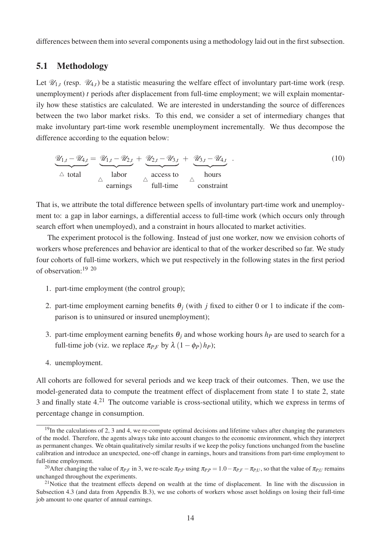differences between them into several components using a methodology laid out in the first subsection.

#### 5.1 Methodology

Let  $\mathcal{U}_{1,t}$  (resp.  $\mathcal{U}_{4,t}$ ) be a statistic measuring the welfare effect of involuntary part-time work (resp. unemployment) *t* periods after displacement from full-time employment; we will explain momentarily how these statistics are calculated. We are interested in understanding the source of differences between the two labor market risks. To this end, we consider a set of intermediary changes that make involuntary part-time work resemble unemployment incrementally. We thus decompose the difference according to the equation below:

$$
\underbrace{\mathcal{U}_{1,t} - \mathcal{U}_{4,t}}_{\triangle \text{ total}} = \underbrace{\mathcal{U}_{1,t} - \mathcal{U}_{2,t}}_{\triangle \text{ labor}} + \underbrace{\mathcal{U}_{2,t} - \mathcal{U}_{3,t}}_{\triangle \text{ access to}} + \underbrace{\mathcal{U}_{3,t} - \mathcal{U}_{4,t}}_{\triangle \text{ hours}}.
$$
\n(10)

That is, we attribute the total difference between spells of involuntary part-time work and unemployment to: a gap in labor earnings, a differential access to full-time work (which occurs only through search effort when unemployed), and a constraint in hours allocated to market activities.

The experiment protocol is the following. Instead of just one worker, now we envision cohorts of workers whose preferences and behavior are identical to that of the worker described so far. We study four cohorts of full-time workers, which we put respectively in the following states in the first period of observation:19 20

- 1. part-time employment (the control group);
- 2. part-time employment earning benefits  $\theta_i$  (with *j* fixed to either 0 or 1 to indicate if the comparison is to uninsured or insured unemployment);
- 3. part-time employment earning benefits  $\theta_i$  and whose working hours  $h_p$  are used to search for a full-time job (viz. we replace  $\pi_{PF}$  by  $\lambda (1 - \phi_P) h_P$ );
- 4. unemployment.

All cohorts are followed for several periods and we keep track of their outcomes. Then, we use the model-generated data to compute the treatment effect of displacement from state 1 to state 2, state 3 and finally state 4.<sup>21</sup> The outcome variable is cross-sectional utility, which we express in terms of percentage change in consumption.

 $19$ In the calculations of 2, 3 and 4, we re-compute optimal decisions and lifetime values after changing the parameters of the model. Therefore, the agents always take into account changes to the economic environment, which they interpret as permanent changes. We obtain qualitatively similar results if we keep the policy functions unchanged from the baseline calibration and introduce an unexpected, one-off change in earnings, hours and transitions from part-time employment to full-time employment.

<sup>&</sup>lt;sup>20</sup>After changing the value of  $\pi_{P,F}$  in 3, we re-scale  $\pi_{P,P}$  using  $\pi_{P,P} = 1.0 - \pi_{P,F} - \pi_{P,U}$ , so that the value of  $\pi_{P,U}$  remains unchanged throughout the experiments.

 $21$ Notice that the treatment effects depend on wealth at the time of displacement. In line with the discussion in Subsection 4.3 (and data from Appendix B.3), we use cohorts of workers whose asset holdings on losing their full-time job amount to one quarter of annual earnings.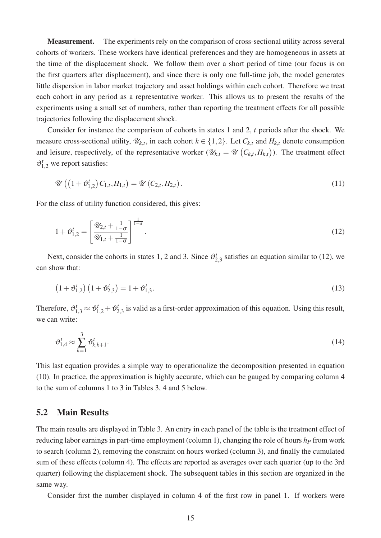Measurement. The experiments rely on the comparison of cross-sectional utility across several cohorts of workers. These workers have identical preferences and they are homogeneous in assets at the time of the displacement shock. We follow them over a short period of time (our focus is on the first quarters after displacement), and since there is only one full-time job, the model generates little dispersion in labor market trajectory and asset holdings within each cohort. Therefore we treat each cohort in any period as a representative worker. This allows us to present the results of the experiments using a small set of numbers, rather than reporting the treatment effects for all possible trajectories following the displacement shock.

Consider for instance the comparison of cohorts in states 1 and 2, *t* periods after the shock. We measure cross-sectional utility,  $\mathcal{U}_{k,t}$ , in each cohort  $k \in \{1,2\}$ . Let  $C_{k,t}$  and  $H_{k,t}$  denote consumption and leisure, respectively, of the representative worker  $(\mathscr{U}_{k,t} = \mathscr{U}(C_{k,t}, H_{k,t}))$ . The treatment effect  $\vartheta_{1,2}^{t}$  we report satisfies:

$$
\mathscr{U}\left(\left(1+\vartheta_{1,2}^{t}\right)C_{1,t},H_{1,t}\right)=\mathscr{U}\left(C_{2,t},H_{2,t}\right).
$$
\n(11)

For the class of utility function considered, this gives:

$$
1 + \vartheta_{1,2}^{t} = \left[ \frac{\mathcal{U}_{2,t} + \frac{1}{1-\sigma}}{\mathcal{U}_{1,t} + \frac{1}{1-\sigma}} \right]^{\frac{1}{1-\sigma}}.
$$
\n(12)

Next, consider the cohorts in states 1, 2 and 3. Since  $\vartheta_2^1$  $t'_{2,3}$  satisfies an equation similar to (12), we can show that:

$$
(1 + \vartheta_{1,2}^t) (1 + \vartheta_{2,3}^t) = 1 + \vartheta_{1,3}^t.
$$
 (13)

Therefore,  $\vartheta_{1,3}^t \approx \vartheta_{1,2}^t + \vartheta_2^t$  $t_{2,3}$  is valid as a first-order approximation of this equation. Using this result, we can write:

$$
\vartheta_{1,4}^t \approx \sum_{k=1}^3 \vartheta_{k,k+1}^t.
$$
\n(14)

This last equation provides a simple way to operationalize the decomposition presented in equation (10). In practice, the approximation is highly accurate, which can be gauged by comparing column 4 to the sum of columns 1 to 3 in Tables 3, 4 and 5 below.

#### 5.2 Main Results

The main results are displayed in Table 3. An entry in each panel of the table is the treatment effect of reducing labor earnings in part-time employment (column 1), changing the role of hours *h<sup>P</sup>* from work to search (column 2), removing the constraint on hours worked (column 3), and finally the cumulated sum of these effects (column 4). The effects are reported as averages over each quarter (up to the 3rd quarter) following the displacement shock. The subsequent tables in this section are organized in the same way.

Consider first the number displayed in column 4 of the first row in panel 1. If workers were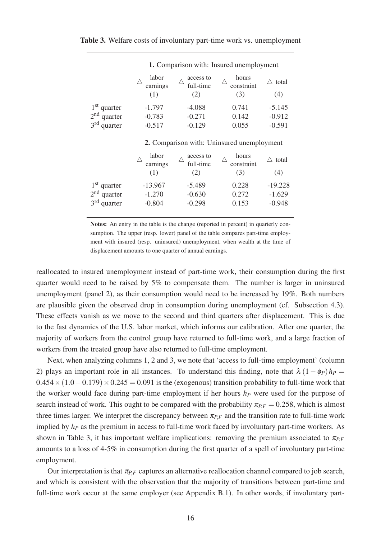|               |                          | 1. Comparison with: Insured unemployment |                            |                   |  |  |  |  |
|---------------|--------------------------|------------------------------------------|----------------------------|-------------------|--|--|--|--|
|               | labor<br>earnings<br>(1) | access to<br>full-time<br>(2)            | hours<br>constraint<br>(3) | total<br>Λ<br>(4) |  |  |  |  |
| $1st$ quarter | $-1.797$                 | $-4.088$                                 | 0.741                      | $-5.145$          |  |  |  |  |
| $2nd$ quarter | $-0.783$                 | $-0.271$                                 | 0.142                      | $-0.912$          |  |  |  |  |
| $3rd$ quarter | $-0.517$                 | $-0.129$                                 | 0.055                      | $-0.591$          |  |  |  |  |

|  |  |  | 2. Comparison with: Uninsured unemployment |
|--|--|--|--------------------------------------------|
|--|--|--|--------------------------------------------|

|               | labor<br>earnings<br>(1) | access to<br>full-time<br>2) | hours<br>constraint<br>(3) | total<br>(4) |
|---------------|--------------------------|------------------------------|----------------------------|--------------|
| $1st$ quarter | $-13.967$                | $-5.489$                     | 0.228                      | $-19.228$    |
| $2nd$ quarter | $-1.270$                 | $-0.630$                     | 0.272                      | $-1.629$     |
| $3rd$ quarter | $-0.804$                 | $-0.298$                     | 0.153                      | $-0.948$     |

Notes: An entry in the table is the change (reported in percent) in quarterly consumption. The upper (resp. lower) panel of the table compares part-time employment with insured (resp. uninsured) unemployment, when wealth at the time of displacement amounts to one quarter of annual earnings.

reallocated to insured unemployment instead of part-time work, their consumption during the first quarter would need to be raised by 5% to compensate them. The number is larger in uninsured unemployment (panel 2), as their consumption would need to be increased by 19%. Both numbers are plausible given the observed drop in consumption during unemployment (cf. Subsection 4.3). These effects vanish as we move to the second and third quarters after displacement. This is due to the fast dynamics of the U.S. labor market, which informs our calibration. After one quarter, the majority of workers from the control group have returned to full-time work, and a large fraction of workers from the treated group have also returned to full-time employment.

Next, when analyzing columns 1, 2 and 3, we note that 'access to full-time employment' (column 2) plays an important role in all instances. To understand this finding, note that  $\lambda (1 - \phi_P) h_P =$  $0.454 \times (1.0 - 0.179) \times 0.245 = 0.091$  is the (exogenous) transition probability to full-time work that the worker would face during part-time employment if her hours *h<sup>P</sup>* were used for the purpose of search instead of work. This ought to be compared with the probability  $\pi_{PF} = 0.258$ , which is almost three times larger. We interpret the discrepancy between  $\pi_{P,F}$  and the transition rate to full-time work implied by *h<sup>P</sup>* as the premium in access to full-time work faced by involuntary part-time workers. As shown in Table 3, it has important welfare implications: removing the premium associated to  $\pi_{PF}$ amounts to a loss of 4-5% in consumption during the first quarter of a spell of involuntary part-time employment.

Our interpretation is that  $\pi_{PF}$  captures an alternative reallocation channel compared to job search, and which is consistent with the observation that the majority of transitions between part-time and full-time work occur at the same employer (see Appendix B.1). In other words, if involuntary part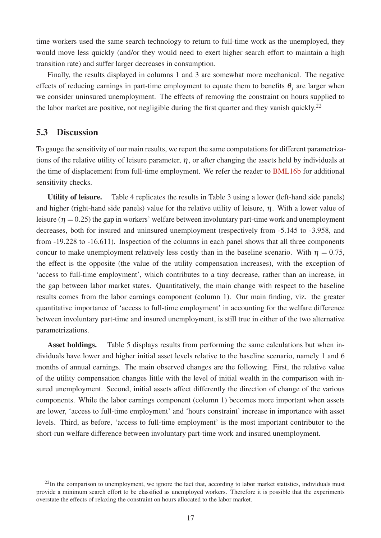time workers used the same search technology to return to full-time work as the unemployed, they would move less quickly (and/or they would need to exert higher search effort to maintain a high transition rate) and suffer larger decreases in consumption.

Finally, the results displayed in columns 1 and 3 are somewhat more mechanical. The negative effects of reducing earnings in part-time employment to equate them to benefits  $\theta_i$  are larger when we consider uninsured unemployment. The effects of removing the constraint on hours supplied to the labor market are positive, not negligible during the first quarter and they vanish quickly.<sup>22</sup>

#### 5.3 Discussion

To gauge the sensitivity of our main results, we report the same computations for different parametrizations of the relative utility of leisure parameter,  $\eta$ , or after changing the assets held by individuals at the time of displacement from full-time employment. We refer the reader to BML16b for additional sensitivity checks.

Utility of leisure. Table 4 replicates the results in Table 3 using a lower (left-hand side panels) and higher (right-hand side panels) value for the relative utility of leisure,  $\eta$ . With a lower value of leisure ( $\eta = 0.25$ ) the gap in workers' welfare between involuntary part-time work and unemployment decreases, both for insured and uninsured unemployment (respectively from -5.145 to -3.958, and from -19.228 to -16.611). Inspection of the columns in each panel shows that all three components concur to make unemployment relatively less costly than in the baseline scenario. With  $\eta = 0.75$ , the effect is the opposite (the value of the utility compensation increases), with the exception of 'access to full-time employment', which contributes to a tiny decrease, rather than an increase, in the gap between labor market states. Quantitatively, the main change with respect to the baseline results comes from the labor earnings component (column 1). Our main finding, viz. the greater quantitative importance of 'access to full-time employment' in accounting for the welfare difference between involuntary part-time and insured unemployment, is still true in either of the two alternative parametrizations.

Asset holdings. Table 5 displays results from performing the same calculations but when individuals have lower and higher initial asset levels relative to the baseline scenario, namely 1 and 6 months of annual earnings. The main observed changes are the following. First, the relative value of the utility compensation changes little with the level of initial wealth in the comparison with insured unemployment. Second, initial assets affect differently the direction of change of the various components. While the labor earnings component (column 1) becomes more important when assets are lower, 'access to full-time employment' and 'hours constraint' increase in importance with asset levels. Third, as before, 'access to full-time employment' is the most important contributor to the short-run welfare difference between involuntary part-time work and insured unemployment.

<sup>&</sup>lt;sup>22</sup>In the comparison to unemployment, we ignore the fact that, according to labor market statistics, individuals must provide a minimum search effort to be classified as unemployed workers. Therefore it is possible that the experiments overstate the effects of relaxing the constraint on hours allocated to the labor market.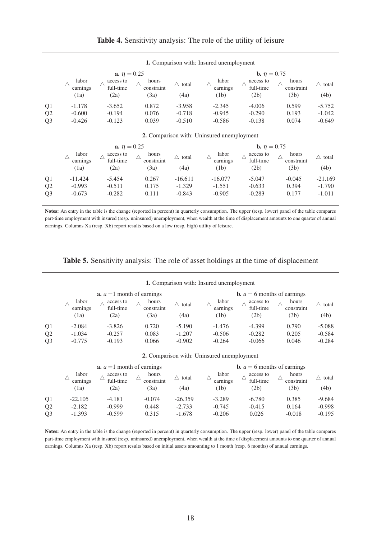|  | <b>Table 4.</b> Sensitivity analysis: The role of the utility of leisure |  |
|--|--------------------------------------------------------------------------|--|
|  |                                                                          |  |

|                | <b>a.</b> $\eta = 0.25$                |                                |                             |                           |                           | <b>b.</b> $\eta = 0.75$        |                             |               |  |
|----------------|----------------------------------------|--------------------------------|-----------------------------|---------------------------|---------------------------|--------------------------------|-----------------------------|---------------|--|
|                | labor<br>earnings<br>$\left(1a\right)$ | access to<br>full-time<br>(2a) | hours<br>constraint<br>(3a) | $\triangle$ total<br>(4a) | labor<br>earnings<br>(1b) | access to<br>full-time<br>(2b) | hours<br>constraint<br>(3b) | total<br>(4b) |  |
| Q <sub>1</sub> | $-1.178$                               | $-3.652$                       | 0.872                       | $-3.958$                  | $-2.345$                  | $-4.006$                       | 0.599                       | $-5.752$      |  |
| Q <sub>2</sub> | $-0.600$                               | $-0.194$                       | 0.076                       | $-0.718$                  | $-0.945$                  | $-0.290$                       | 0.193                       | $-1.042$      |  |
| Q <sub>3</sub> | $-0.426$                               | $-0.123$                       | 0.039                       | $-0.510$                  | $-0.586$                  | $-0.138$                       | 0.074                       | $-0.649$      |  |

#### 1. Comparison with: Insured unemployment

2. Comparison with: Uninsured unemployment

|                |                                        | <b>a.</b> $\eta = 0.25$        |                             |               |                           | <b>b.</b> $\eta = 0.75$        |                             |               |  |
|----------------|----------------------------------------|--------------------------------|-----------------------------|---------------|---------------------------|--------------------------------|-----------------------------|---------------|--|
|                | labor<br>earnings<br>$\left(1a\right)$ | access to<br>full-time<br>(2a) | hours<br>constraint<br>(3a) | total<br>(4a) | labor<br>earnings<br>(1b) | access to<br>full-time<br>(2b) | hours<br>constraint<br>(3b) | total<br>(4b) |  |
| Q <sub>1</sub> | $-11.424$                              | $-5.454$                       | 0.267                       | $-16.611$     | $-16.077$                 | $-5.047$                       | $-0.045$                    | $-21.169$     |  |
| Q <sub>2</sub> | $-0.993$                               | $-0.511$                       | 0.175                       | $-1.329$      | $-1.551$                  | $-0.633$                       | 0.394                       | $-1.790$      |  |
| Q <sub>3</sub> | $-0.673$                               | $-0.282$                       | 0.111                       | $-0.843$      | $-0.905$                  | $-0.283$                       | 0.177                       | $-1.011$      |  |

Notes: An entry in the table is the change (reported in percent) in quarterly consumption. The upper (resp. lower) panel of the table compares part-time employment with insured (resp. uninsured) unemployment, when wealth at the time of displacement amounts to one quarter of annual earnings. Columns Xa (resp. Xb) report results based on a low (resp. high) utility of leisure.

#### Table 5. Sensitivity analysis: The role of asset holdings at the time of displacement

|                | 1. Comparison with: Insured unemployment |                                     |                     |                   |                   |                                      |                     |          |  |
|----------------|------------------------------------------|-------------------------------------|---------------------|-------------------|-------------------|--------------------------------------|---------------------|----------|--|
|                |                                          | <b>a.</b> $a = 1$ month of earnings |                     |                   |                   | <b>b.</b> $a = 6$ months of earnings |                     |          |  |
|                | labor<br>earnings                        | access to<br>full-time              | hours<br>constraint | $\triangle$ total | labor<br>earnings | access to<br>full-time               | hours<br>constraint | total    |  |
|                | (1a)                                     | (2a)                                | (3a)                | (4a)              | (1b)              | (2b)                                 | (3b)                | (4b)     |  |
| Q1             | $-2.084$                                 | $-3.826$                            | 0.720               | $-5.190$          | $-1.476$          | $-4.399$                             | 0.790               | $-5.088$ |  |
| Q2             | $-1.034$                                 | $-0.257$                            | 0.083               | $-1.207$          | $-0.506$          | $-0.282$                             | 0.205               | $-0.584$ |  |
| Q <sub>3</sub> | $-0.775$                                 | $-0.193$                            | 0.066               | $-0.902$          | $-0.264$          | $-0.066$                             | 0.046               | $-0.284$ |  |

|  |  |  |  | 2. Comparison with: Uninsured unemployment |
|--|--|--|--|--------------------------------------------|
|--|--|--|--|--------------------------------------------|

|                | <b>a.</b> $a = 1$ month of earnings |                        |                     |           |                   | <b>b.</b> $a = 6$ months of earnings |                     |          |
|----------------|-------------------------------------|------------------------|---------------------|-----------|-------------------|--------------------------------------|---------------------|----------|
|                | labor<br>earnings                   | access to<br>full-time | hours<br>constraint | total     | labor<br>earnings | access to<br>full-time               | hours<br>constraint | total    |
|                | (1a)                                | (2a)                   | 3a)                 | (4a)      | (1b)              | (2b)                                 | (3b)                | (4b)     |
| Q <sub>1</sub> | $-22.105$                           | $-4.181$               | $-0.074$            | $-26.359$ | $-3.289$          | $-6.780$                             | 0.385               | $-9.684$ |
| Q <sub>2</sub> | $-2.182$                            | $-0.999$               | 0.448               | $-2.733$  | $-0.745$          | $-0.415$                             | 0.164               | $-0.998$ |
| Q <sub>3</sub> | $-1.393$                            | $-0.599$               | 0.315               | $-1.678$  | $-0.206$          | 0.026                                | $-0.018$            | $-0.195$ |

Notes: An entry in the table is the change (reported in percent) in quarterly consumption. The upper (resp. lower) panel of the table compares part-time employment with insured (resp. uninsured) unemployment, when wealth at the time of displacement amounts to one quarter of annual earnings. Columns Xa (resp. Xb) report results based on initial assets amounting to 1 month (resp. 6 months) of annual earnings.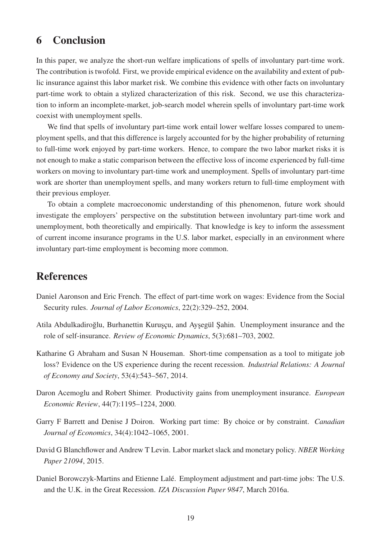## 6 Conclusion

In this paper, we analyze the short-run welfare implications of spells of involuntary part-time work. The contribution is twofold. First, we provide empirical evidence on the availability and extent of public insurance against this labor market risk. We combine this evidence with other facts on involuntary part-time work to obtain a stylized characterization of this risk. Second, we use this characterization to inform an incomplete-market, job-search model wherein spells of involuntary part-time work coexist with unemployment spells.

We find that spells of involuntary part-time work entail lower welfare losses compared to unemployment spells, and that this difference is largely accounted for by the higher probability of returning to full-time work enjoyed by part-time workers. Hence, to compare the two labor market risks it is not enough to make a static comparison between the effective loss of income experienced by full-time workers on moving to involuntary part-time work and unemployment. Spells of involuntary part-time work are shorter than unemployment spells, and many workers return to full-time employment with their previous employer.

To obtain a complete macroeconomic understanding of this phenomenon, future work should investigate the employers' perspective on the substitution between involuntary part-time work and unemployment, both theoretically and empirically. That knowledge is key to inform the assessment of current income insurance programs in the U.S. labor market, especially in an environment where involuntary part-time employment is becoming more common.

## References

- Daniel Aaronson and Eric French. The effect of part-time work on wages: Evidence from the Social Security rules. *Journal of Labor Economics*, 22(2):329–252, 2004.
- Atila Abdulkadiroğlu, Burhanettin Kuruşçu, and Ayşegül Şahin. Unemployment insurance and the role of self-insurance. *Review of Economic Dynamics*, 5(3):681–703, 2002.
- Katharine G Abraham and Susan N Houseman. Short-time compensation as a tool to mitigate job loss? Evidence on the US experience during the recent recession. *Industrial Relations: A Journal of Economy and Society*, 53(4):543–567, 2014.
- Daron Acemoglu and Robert Shimer. Productivity gains from unemployment insurance. *European Economic Review*, 44(7):1195–1224, 2000.
- Garry F Barrett and Denise J Doiron. Working part time: By choice or by constraint. *Canadian Journal of Economics*, 34(4):1042–1065, 2001.
- David G Blanchflower and Andrew T Levin. Labor market slack and monetary policy. *NBER Working Paper 21094*, 2015.
- Daniel Borowczyk-Martins and Etienne Lalé. Employment adjustment and part-time jobs: The U.S. and the U.K. in the Great Recession. *IZA Discussion Paper 9847*, March 2016a.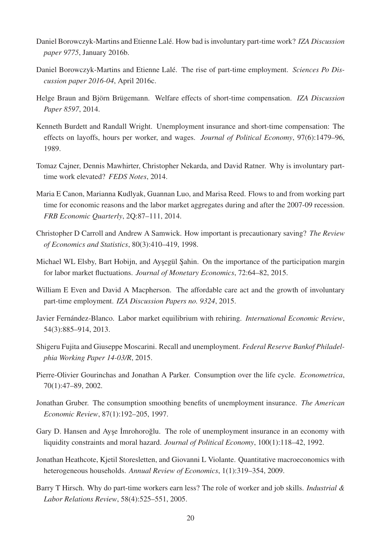- Daniel Borowczyk-Martins and Etienne Lalé. How bad is involuntary part-time work? *IZA Discussion paper 9775*, January 2016b.
- Daniel Borowczyk-Martins and Etienne Lalé. The rise of part-time employment. *Sciences Po Discussion paper 2016-04*, April 2016c.
- Helge Braun and Björn Brügemann. Welfare effects of short-time compensation. *IZA Discussion Paper 8597*, 2014.
- Kenneth Burdett and Randall Wright. Unemployment insurance and short-time compensation: The effects on layoffs, hours per worker, and wages. *Journal of Political Economy*, 97(6):1479–96, 1989.
- Tomaz Cajner, Dennis Mawhirter, Christopher Nekarda, and David Ratner. Why is involuntary parttime work elevated? *FEDS Notes*, 2014.
- Maria E Canon, Marianna Kudlyak, Guannan Luo, and Marisa Reed. Flows to and from working part time for economic reasons and the labor market aggregates during and after the 2007-09 recession. *FRB Economic Quarterly*, 2Q:87–111, 2014.
- Christopher D Carroll and Andrew A Samwick. How important is precautionary saving? *The Review of Economics and Statistics*, 80(3):410–419, 1998.
- Michael WL Elsby, Bart Hobijn, and Ayşegül Şahin. On the importance of the participation margin for labor market fluctuations. *Journal of Monetary Economics*, 72:64–82, 2015.
- William E Even and David A Macpherson. The affordable care act and the growth of involuntary part-time employment. *IZA Discussion Papers no. 9324*, 2015.
- Javier Fernández-Blanco. Labor market equilibrium with rehiring. *International Economic Review*, 54(3):885–914, 2013.
- Shigeru Fujita and Giuseppe Moscarini. Recall and unemployment. *Federal Reserve Bankof Philadelphia Working Paper 14-03/R*, 2015.
- Pierre-Olivier Gourinchas and Jonathan A Parker. Consumption over the life cycle. *Econometrica*, 70(1):47–89, 2002.
- Jonathan Gruber. The consumption smoothing benefits of unemployment insurance. *The American Economic Review*, 87(1):192–205, 1997.
- Gary D. Hansen and Ayse Imrohoroglu. The role of unemployment insurance in an economy with liquidity constraints and moral hazard. *Journal of Political Economy*, 100(1):118–42, 1992.
- Jonathan Heathcote, Kjetil Storesletten, and Giovanni L Violante. Quantitative macroeconomics with heterogeneous households. *Annual Review of Economics*, 1(1):319–354, 2009.
- Barry T Hirsch. Why do part-time workers earn less? The role of worker and job skills. *Industrial & Labor Relations Review*, 58(4):525–551, 2005.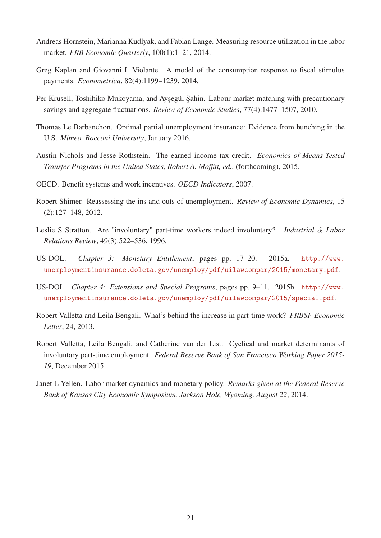- Andreas Hornstein, Marianna Kudlyak, and Fabian Lange. Measuring resource utilization in the labor market. *FRB Economic Quarterly*, 100(1):1–21, 2014.
- Greg Kaplan and Giovanni L Violante. A model of the consumption response to fiscal stimulus payments. *Econometrica*, 82(4):1199–1239, 2014.
- Per Krusell, Toshihiko Mukoyama, and Ayşegül Şahin. Labour-market matching with precautionary savings and aggregate fluctuations. *Review of Economic Studies*, 77(4):1477–1507, 2010.
- Thomas Le Barbanchon. Optimal partial unemployment insurance: Evidence from bunching in the U.S. *Mimeo, Bocconi University*, January 2016.
- Austin Nichols and Jesse Rothstein. The earned income tax credit. *Economics of Means-Tested Transfer Programs in the United States, Robert A. Moffitt, ed.*, (forthcoming), 2015.
- OECD. Benefit systems and work incentives. *OECD Indicators*, 2007.
- Robert Shimer. Reassessing the ins and outs of unemployment. *Review of Economic Dynamics*, 15 (2):127–148, 2012.
- Leslie S Stratton. Are "involuntary" part-time workers indeed involuntary? *Industrial & Labor Relations Review*, 49(3):522–536, 1996.
- US-DOL. *Chapter 3: Monetary Entitlement*, pages pp. 17–20. 2015a. http://www. unemploymentinsurance.doleta.gov/unemploy/pdf/uilawcompar/2015/monetary.pdf.
- US-DOL. *Chapter 4: Extensions and Special Programs*, pages pp. 9–11. 2015b. http://www. unemploymentinsurance.doleta.gov/unemploy/pdf/uilawcompar/2015/special.pdf.
- Robert Valletta and Leila Bengali. What's behind the increase in part-time work? *FRBSF Economic Letter*, 24, 2013.
- Robert Valletta, Leila Bengali, and Catherine van der List. Cyclical and market determinants of involuntary part-time employment. *Federal Reserve Bank of San Francisco Working Paper 2015- 19*, December 2015.
- Janet L Yellen. Labor market dynamics and monetary policy. *Remarks given at the Federal Reserve Bank of Kansas City Economic Symposium, Jackson Hole, Wyoming, August 22*, 2014.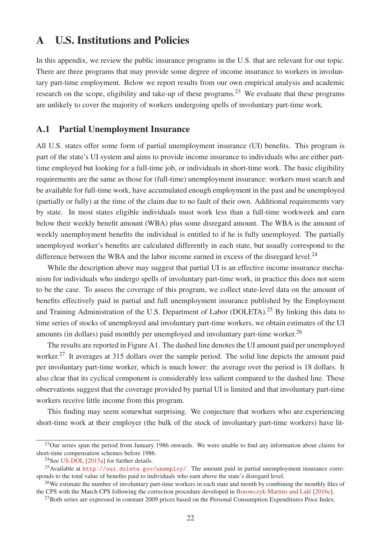## A U.S. Institutions and Policies

In this appendix, we review the public insurance programs in the U.S. that are relevant for our topic. There are three programs that may provide some degree of income insurance to workers in involuntary part-time employment. Below we report results from our own empirical analysis and academic research on the scope, eligibility and take-up of these programs.<sup>23</sup> We evaluate that these programs are unlikely to cover the majority of workers undergoing spells of involuntary part-time work.

#### A.1 Partial Unemployment Insurance

All U.S. states offer some form of partial unemployment insurance (UI) benefits. This program is part of the state's UI system and aims to provide income insurance to individuals who are either parttime employed but looking for a full-time job, or individuals in short-time work. The basic eligibility requirements are the same as those for (full-time) unemployment insurance: workers must search and be available for full-time work, have accumulated enough employment in the past and be unemployed (partially or fully) at the time of the claim due to no fault of their own. Additional requirements vary by state. In most states eligible individuals must work less than a full-time workweek and earn below their weekly benefit amount (WBA) plus some disregard amount. The WBA is the amount of weekly unemployment benefits the individual is entitled to if he is fully unemployed. The partially unemployed worker's benefits are calculated differently in each state, but usually correspond to the difference between the WBA and the labor income earned in excess of the disregard level.<sup>24</sup>

While the description above may suggest that partial UI is an effective income insurance mechanism for individuals who undergo spells of involuntary part-time work, in practice this does not seem to be the case. To assess the coverage of this program, we collect state-level data on the amount of benefits effectively paid in partial and full unemployment insurance published by the Employment and Training Administration of the U.S. Department of Labor (DOLETA).<sup>25</sup> By linking this data to time series of stocks of unemployed and involuntary part-time workers, we obtain estimates of the UI amounts (in dollars) paid monthly per unemployed and involuntary part-time worker.<sup>26</sup>

The results are reported in Figure A1. The dashed line denotes the UI amount paid per unemployed worker.<sup>27</sup> It averages at 315 dollars over the sample period. The solid line depicts the amount paid per involuntary part-time worker, which is much lower: the average over the period is 18 dollars. It also clear that its cyclical component is considerably less salient compared to the dashed line. These observations suggest that the coverage provided by partial UI is limited and that involuntary part-time workers receive little income from this program.

This finding may seem somewhat surprising. We conjecture that workers who are experiencing short-time work at their employer (the bulk of the stock of involuntary part-time workers) have lit-

<sup>&</sup>lt;sup>23</sup>Our series span the period from January 1986 onwards. We were unable to find any information about claims for short-time compensation schemes before 1986.

<sup>&</sup>lt;sup>24</sup>See US-DOL  $[2015a]$  for further details.

<sup>25</sup>Available at http://oui.doleta.gov/unemploy/. The amount paid in partial unemployment insurance corresponds to the total value of benefits paid to individuals who earn above the state's disregard level.

<sup>&</sup>lt;sup>26</sup>We estimate the number of involuntary part-time workers in each state and month by combining the monthly files of the CPS with the March CPS following the correction procedure developed in Borowczyk-Martins and Lalé [2016c].

 $^{27}$ Both series are expressed in constant 2009 prices based on the Personal Consumption Expenditures Price Index.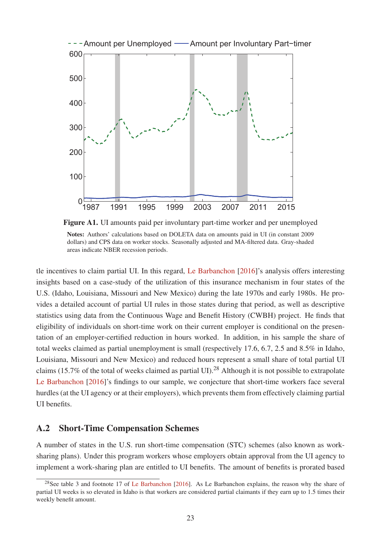

Figure A1. UI amounts paid per involuntary part-time worker and per unemployed Notes: Authors' calculations based on DOLETA data on amounts paid in UI (in constant 2009 dollars) and CPS data on worker stocks. Seasonally adjusted and MA-filtered data. Gray-shaded areas indicate NBER recession periods.

tle incentives to claim partial UI. In this regard, Le Barbanchon [2016]'s analysis offers interesting insights based on a case-study of the utilization of this insurance mechanism in four states of the U.S. (Idaho, Louisiana, Missouri and New Mexico) during the late 1970s and early 1980s. He provides a detailed account of partial UI rules in those states during that period, as well as descriptive statistics using data from the Continuous Wage and Benefit History (CWBH) project. He finds that eligibility of individuals on short-time work on their current employer is conditional on the presentation of an employer-certified reduction in hours worked. In addition, in his sample the share of total weeks claimed as partial unemployment is small (respectively 17.6, 6.7, 2.5 and 8.5% in Idaho, Louisiana, Missouri and New Mexico) and reduced hours represent a small share of total partial UI claims (15.7% of the total of weeks claimed as partial UI).<sup>28</sup> Although it is not possible to extrapolate Le Barbanchon [2016]'s findings to our sample, we conjecture that short-time workers face several hurdles (at the UI agency or at their employers), which prevents them from effectively claiming partial UI benefits.

#### A.2 Short-Time Compensation Schemes

A number of states in the U.S. run short-time compensation (STC) schemes (also known as worksharing plans). Under this program workers whose employers obtain approval from the UI agency to implement a work-sharing plan are entitled to UI benefits. The amount of benefits is prorated based

<sup>&</sup>lt;sup>28</sup>See table 3 and footnote 17 of Le Barbanchon [2016]. As Le Barbanchon explains, the reason why the share of partial UI weeks is so elevated in Idaho is that workers are considered partial claimants if they earn up to 1.5 times their weekly benefit amount.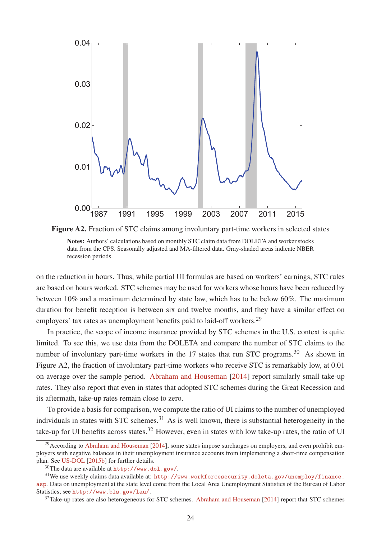

Figure A2. Fraction of STC claims among involuntary part-time workers in selected states Notes: Authors' calculations based on monthly STC claim data from DOLETA and worker stocks data from the CPS. Seasonally adjusted and MA-filtered data. Gray-shaded areas indicate NBER recession periods.

on the reduction in hours. Thus, while partial UI formulas are based on workers' earnings, STC rules are based on hours worked. STC schemes may be used for workers whose hours have been reduced by between 10% and a maximum determined by state law, which has to be below 60%. The maximum duration for benefit reception is between six and twelve months, and they have a similar effect on employers' tax rates as unemployment benefits paid to laid-off workers.<sup>29</sup>

In practice, the scope of income insurance provided by STC schemes in the U.S. context is quite limited. To see this, we use data from the DOLETA and compare the number of STC claims to the number of involuntary part-time workers in the  $17$  states that run STC programs.<sup>30</sup> As shown in Figure A2, the fraction of involuntary part-time workers who receive STC is remarkably low, at 0.01 on average over the sample period. Abraham and Houseman [2014] report similarly small take-up rates. They also report that even in states that adopted STC schemes during the Great Recession and its aftermath, take-up rates remain close to zero.

To provide a basis for comparison, we compute the ratio of UI claims to the number of unemployed individuals in states with STC schemes.<sup>31</sup> As is well known, there is substantial heterogeneity in the take-up for UI benefits across states.<sup>32</sup> However, even in states with low take-up rates, the ratio of UI

 $29$ According to Abraham and Houseman [2014], some states impose surcharges on employers, and even prohibit employers with negative balances in their unemployment insurance accounts from implementing a short-time compensation plan. See US-DOL [2015b] for further details.

<sup>30</sup>The data are available at http://www.dol.gov/.

<sup>31</sup>We use weekly claims data available at: http://www.workforcesecurity.doleta.gov/unemploy/finance. asp. Data on unemployment at the state level come from the Local Area Unemployment Statistics of the Bureau of Labor Statistics; see http://www.bls.gov/lau/.

<sup>&</sup>lt;sup>32</sup>Take-up rates are also heterogeneous for STC schemes. Abraham and Houseman [2014] report that STC schemes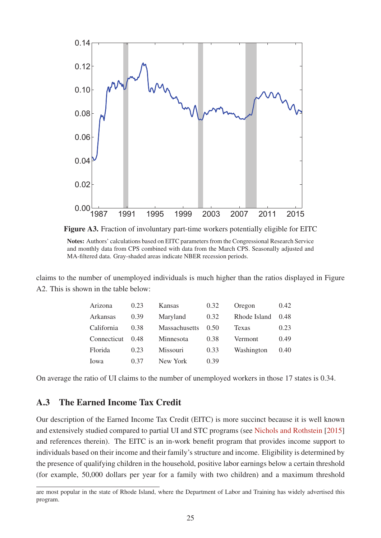



claims to the number of unemployed individuals is much higher than the ratios displayed in Figure A2. This is shown in the table below:

| Arizona     | 0.23 | Kansas          | 0.32 | Oregon       | 0.42 |
|-------------|------|-----------------|------|--------------|------|
| Arkansas    | 0.39 | Maryland        | 0.32 | Rhode Island | 0.48 |
| California  | 0.38 | Massachusetts   | 0.50 | Texas        | 0.23 |
| Connecticut | 0.48 | Minnesota       | 0.38 | Vermont      | 0.49 |
| Florida     | 0.23 | <b>Missouri</b> | 0.33 | Washington   | 0.40 |
| Iowa        | 0.37 | New York        | 0.39 |              |      |

On average the ratio of UI claims to the number of unemployed workers in those 17 states is 0.34.

### A.3 The Earned Income Tax Credit

Our description of the Earned Income Tax Credit (EITC) is more succinct because it is well known and extensively studied compared to partial UI and STC programs (see Nichols and Rothstein [2015] and references therein). The EITC is an in-work benefit program that provides income support to individuals based on their income and their family's structure and income. Eligibility is determined by the presence of qualifying children in the household, positive labor earnings below a certain threshold (for example, 50,000 dollars per year for a family with two children) and a maximum threshold

are most popular in the state of Rhode Island, where the Department of Labor and Training has widely advertised this program.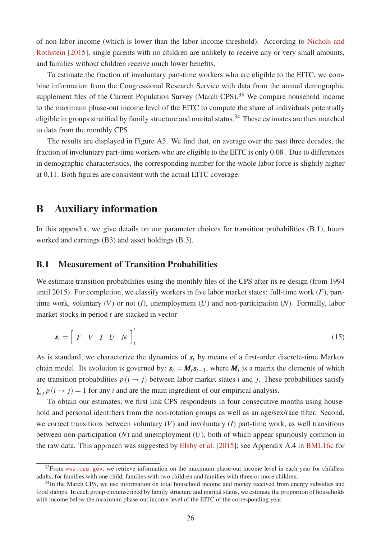of non-labor income (which is lower than the labor income threshold). According to Nichols and Rothstein [2015], single parents with no children are unlikely to receive any or very small amounts, and families without children receive much lower benefits.

To estimate the fraction of involuntary part-time workers who are eligible to the EITC, we combine information from the Congressional Research Service with data from the annual demographic supplement files of the Current Population Survey (March CPS).<sup>33</sup> We compare household income to the maximum phase-out income level of the EITC to compute the share of individuals potentially eligible in groups stratified by family structure and marital status.<sup>34</sup> These estimates are then matched to data from the monthly CPS.

The results are displayed in Figure A3. We find that, on average over the past three decades, the fraction of involuntary part-time workers who are eligible to the EITC is only 0.08 . Due to differences in demographic characteristics, the corresponding number for the whole labor force is slightly higher at 0.11. Both figures are consistent with the actual EITC coverage.

## B Auxiliary information

In this appendix, we give details on our parameter choices for transition probabilities (B.1), hours worked and earnings (B3) and asset holdings (B.3).

#### B.1 Measurement of Transition Probabilities

We estimate transition probabilities using the monthly files of the CPS after its re-design (from 1994 until 2015). For completion, we classify workers in five labor market states: full-time work (*F*), parttime work, voluntary (*V*) or not (*I*), unemployment (*U*) and non-participation (*N*). Formally, labor market stocks in period *t* are stacked in vector

$$
\mathbf{s}_t = \left[ \begin{array}{cccc} F & V & I & U & N \end{array} \right]_t' \tag{15}
$$

As is standard, we characterize the dynamics of *s<sup>t</sup>* by means of a first-order discrete-time Markov chain model. Its evolution is governed by:  $s_t = M_t s_{t-1}$ , where  $M_t$  is a matrix the elements of which are transition probabilities  $p(i \rightarrow j)$  between labor market states *i* and *j*. These probabilities satisfy  $\sum_{i} p(i \rightarrow j) = 1$  for any *i* and are the main ingredient of our empirical analysis.

To obtain our estimates, we first link CPS respondents in four consecutive months using household and personal identifiers from the non-rotation groups as well as an age/sex/race filter. Second, we correct transitions between voluntary  $(V)$  and involuntary  $(I)$  part-time work, as well transitions between non-participation (*N*) and unemployment (*U*), both of which appear spuriously common in the raw data. This approach was suggested by Elsby et al. [2015]; see Appendix A.4 in BML16c for

 $33$ From www.crs.gov, we retrieve information on the maximum phase-out income level in each year for childless adults, for families with one child, families with two children and families with three or more children.

<sup>&</sup>lt;sup>34</sup>In the March CPS, we use information on total household income and money received from energy subsidies and food stamps. In each group circumscribed by family structure and marital status, we estimate the proportion of households with income below the maximum phase-out income level of the EITC of the corresponding year.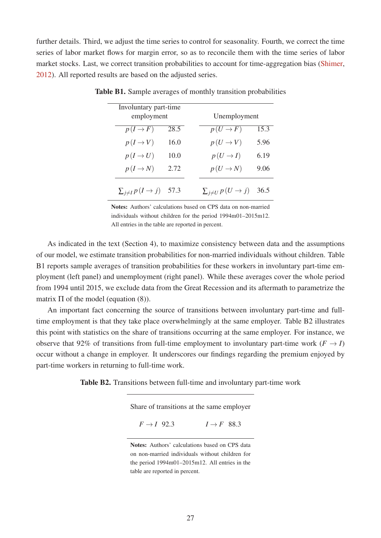further details. Third, we adjust the time series to control for seasonality. Fourth, we correct the time series of labor market flows for margin error, so as to reconcile them with the time series of labor market stocks. Last, we correct transition probabilities to account for time-aggregation bias (Shimer, 2012). All reported results are based on the adjusted series.

| Involuntary part-time<br>employment |      |                            | Unemployment |  |  |  |
|-------------------------------------|------|----------------------------|--------------|--|--|--|
| $p(I \rightarrow F)$                | 28.5 | $p(U \rightarrow F)$       | 15.3         |  |  |  |
| $p(I \rightarrow V)$                | 16.0 | $p(U \rightarrow V)$       | 5.96         |  |  |  |
| $p(I \rightarrow U)$                | 10.0 | $p(U \rightarrow I)$       | 6.19         |  |  |  |
| $p(I \rightarrow N)$                | 2.72 | $p(U \rightarrow N)$       | 9.06         |  |  |  |
| $\sum_{j\neq I} p(I \to j)$         | 57.3 | $\sum_{j\neq U} p(U\to j)$ | 36.5         |  |  |  |

Table B1. Sample averages of monthly transition probabilities

Notes: Authors' calculations based on CPS data on non-married individuals without children for the period 1994m01–2015m12. All entries in the table are reported in percent.

As indicated in the text (Section 4), to maximize consistency between data and the assumptions of our model, we estimate transition probabilities for non-married individuals without children. Table B1 reports sample averages of transition probabilities for these workers in involuntary part-time employment (left panel) and unemployment (right panel). While these averages cover the whole period from 1994 until 2015, we exclude data from the Great Recession and its aftermath to parametrize the matrix  $\Pi$  of the model (equation (8)).

An important fact concerning the source of transitions between involuntary part-time and fulltime employment is that they take place overwhelmingly at the same employer. Table B2 illustrates this point with statistics on the share of transitions occurring at the same employer. For instance, we observe that 92% of transitions from full-time employment to involuntary part-time work ( $F \rightarrow I$ ) occur without a change in employer. It underscores our findings regarding the premium enjoyed by part-time workers in returning to full-time work.

Table B2. Transitions between full-time and involuntary part-time work

Share of transitions at the same employer

 $F \rightarrow I$  92.3  $I \rightarrow F$  88.3

Notes: Authors' calculations based on CPS data on non-married individuals without children for the period 1994m01–2015m12. All entries in the table are reported in percent.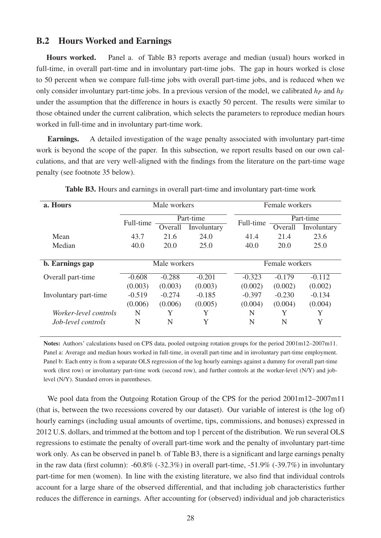#### B.2 Hours Worked and Earnings

Hours worked. Panel a. of Table B3 reports average and median (usual) hours worked in full-time, in overall part-time and in involuntary part-time jobs. The gap in hours worked is close to 50 percent when we compare full-time jobs with overall part-time jobs, and is reduced when we only consider involuntary part-time jobs. In a previous version of the model, we calibrated  $h_p$  and  $h_F$ under the assumption that the difference in hours is exactly 50 percent. The results were similar to those obtained under the current calibration, which selects the parameters to reproduce median hours worked in full-time and in involuntary part-time work.

Earnings. A detailed investigation of the wage penalty associated with involuntary part-time work is beyond the scope of the paper. In this subsection, we report results based on our own calculations, and that are very well-aligned with the findings from the literature on the part-time wage penalty (see footnote 35 below).

| a. Hours              | Male workers |              |             | Female workers |           |             |
|-----------------------|--------------|--------------|-------------|----------------|-----------|-------------|
|                       |              | Part-time    |             |                | Part-time |             |
|                       | Full-time    | Overall      | Involuntary | Full-time      | Overall   | Involuntary |
| Mean                  | 43.7         | 21.6         | 24.0        | 41.4           | 21.4      | 23.6        |
| Median                | 40.0         | 20.0         | 25.0        | 40.0           | 20.0      | 25.0        |
|                       |              |              |             |                |           |             |
| b. Earnings gap       |              | Male workers |             | Female workers |           |             |
| Overall part-time     | $-0.608$     | $-0.288$     | $-0.201$    | $-0.323$       | $-0.179$  | $-0.112$    |
|                       | (0.003)      | (0.003)      | (0.003)     | (0.002)        | (0.002)   | (0.002)     |
| Involuntary part-time | $-0.519$     | $-0.274$     | $-0.185$    | $-0.397$       | $-0.230$  | $-0.134$    |
|                       | (0.006)      | (0.006)      | (0.005)     | (0.004)        | (0.004)   | (0.004)     |
| Worker-level controls | N            | Y            | Y           | N              | Y         | Y           |
| Job-level controls    | N            | N            | Y           | N              | N         | Y           |

Table B3. Hours and earnings in overall part-time and involuntary part-time work

Notes: Authors' calculations based on CPS data, pooled outgoing rotation groups for the period 2001m12–2007m11. Panel a: Average and median hours worked in full-time, in overall part-time and in involuntary part-time employment. Panel b: Each entry is from a separate OLS regression of the log hourly earnings against a dummy for overall part-time work (first row) or involuntary part-time work (second row), and further controls at the worker-level (N/Y) and joblevel (N/Y). Standard errors in parentheses.

We pool data from the Outgoing Rotation Group of the CPS for the period  $2001m12-2007m11$ (that is, between the two recessions covered by our dataset). Our variable of interest is (the log of) hourly earnings (including usual amounts of overtime, tips, commissions, and bonuses) expressed in 2012 U.S. dollars, and trimmed at the bottom and top 1 percent of the distribution. We run several OLS regressions to estimate the penalty of overall part-time work and the penalty of involuntary part-time work only. As can be observed in panel b. of Table B3, there is a significant and large earnings penalty in the raw data (first column):  $-60.8\%$  ( $-32.3\%$ ) in overall part-time,  $-51.9\%$  ( $-39.7\%$ ) in involuntary part-time for men (women). In line with the existing literature, we also find that individual controls account for a large share of the observed differential, and that including job characteristics further reduces the difference in earnings. After accounting for (observed) individual and job characteristics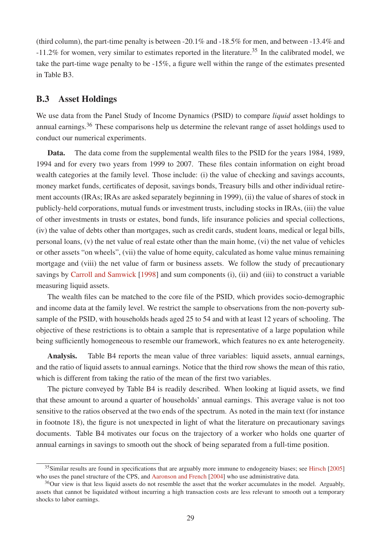(third column), the part-time penalty is between -20.1% and -18.5% for men, and between -13.4% and -11.2% for women, very similar to estimates reported in the literature.<sup>35</sup> In the calibrated model, we take the part-time wage penalty to be -15%, a figure well within the range of the estimates presented in Table B3.

#### B.3 Asset Holdings

We use data from the Panel Study of Income Dynamics (PSID) to compare *liquid* asset holdings to annual earnings.<sup>36</sup> These comparisons help us determine the relevant range of asset holdings used to conduct our numerical experiments.

Data. The data come from the supplemental wealth files to the PSID for the years 1984, 1989, 1994 and for every two years from 1999 to 2007. These files contain information on eight broad wealth categories at the family level. Those include: (i) the value of checking and savings accounts, money market funds, certificates of deposit, savings bonds, Treasury bills and other individual retirement accounts (IRAs; IRAs are asked separately beginning in 1999), (ii) the value of shares of stock in publicly-held corporations, mutual funds or investment trusts, including stocks in IRAs, (iii) the value of other investments in trusts or estates, bond funds, life insurance policies and special collections, (iv) the value of debts other than mortgages, such as credit cards, student loans, medical or legal bills, personal loans, (v) the net value of real estate other than the main home, (vi) the net value of vehicles or other assets "on wheels", (vii) the value of home equity, calculated as home value minus remaining mortgage and (viii) the net value of farm or business assets. We follow the study of precautionary savings by Carroll and Samwick [1998] and sum components (i), (ii) and (iii) to construct a variable measuring liquid assets.

The wealth files can be matched to the core file of the PSID, which provides socio-demographic and income data at the family level. We restrict the sample to observations from the non-poverty subsample of the PSID, with households heads aged 25 to 54 and with at least 12 years of schooling. The objective of these restrictions is to obtain a sample that is representative of a large population while being sufficiently homogeneous to resemble our framework, which features no ex ante heterogeneity.

Analysis. Table B4 reports the mean value of three variables: liquid assets, annual earnings, and the ratio of liquid assets to annual earnings. Notice that the third row shows the mean of this ratio, which is different from taking the ratio of the mean of the first two variables.

The picture conveyed by Table B4 is readily described. When looking at liquid assets, we find that these amount to around a quarter of households' annual earnings. This average value is not too sensitive to the ratios observed at the two ends of the spectrum. As noted in the main text (for instance in footnote 18), the figure is not unexpected in light of what the literature on precautionary savings documents. Table B4 motivates our focus on the trajectory of a worker who holds one quarter of annual earnings in savings to smooth out the shock of being separated from a full-time position.

<sup>&</sup>lt;sup>35</sup>Similar results are found in specifications that are arguably more immune to endogeneity biases; see Hirsch [2005] who uses the panel structure of the CPS, and Aaronson and French [2004] who use administrative data.

<sup>&</sup>lt;sup>36</sup>Our view is that less liquid assets do not resemble the asset that the worker accumulates in the model. Arguably, assets that cannot be liquidated without incurring a high transaction costs are less relevant to smooth out a temporary shocks to labor earnings.